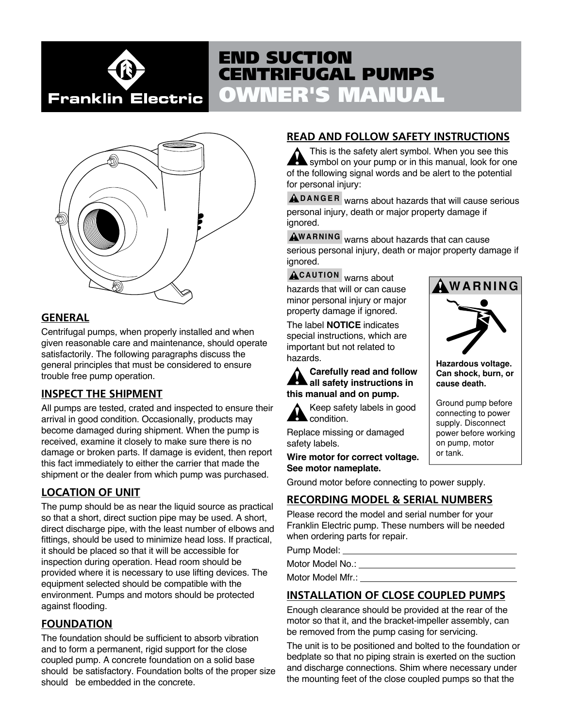

# OWNER'S MANUAL END SUCTION CENTRIFUGAL PUMPS



# **GENERAL**

Centrifugal pumps, when properly installed and when given reasonable care and maintenance, should operate satisfactorily. The following paragraphs discuss the general principles that must be considered to ensure trouble free pump operation.

# **INSPECT THE SHIPMENT**

All pumps are tested, crated and inspected to ensure their arrival in good condition. Occasionally, products may become damaged during shipment. When the pump is received, examine it closely to make sure there is no damage or broken parts. If damage is evident, then report this fact immediately to either the carrier that made the shipment or the dealer from which pump was purchased.

# **LOCATION OF UNIT**

The pump should be as near the liquid source as practical so that a short, direct suction pipe may be used. A short, direct discharge pipe, with the least number of elbows and fittings, should be used to minimize head loss. If practical, it should be placed so that it will be accessible for inspection during operation. Head room should be provided where it is necessary to use lifting devices. The equipment selected should be compatible with the environment. Pumps and motors should be protected against flooding.

# **FOUNDATION**

The foundation should be sufficient to absorb vibration and to form a permanent, rigid support for the close coupled pump. A concrete foundation on a solid base should be satisfactory. Foundation bolts of the proper size should be embedded in the concrete.

# **READ AND FOLLOW SAFETY INSTRUCTIONS**

This is the safety alert symbol. When you see this symbol on your pump or in this manual, look for one of the following signal words and be alert to the potential for personal injury:

**DANGER** warns about hazards that will cause serious personal injury, death or major property damage if ignored.

**WARNING** warns about hazards that can cause serious personal injury, death or major property damage if ignored.

**CAUTION** warns about hazards that will or can cause minor personal injury or major property damage if ignored.

The label **NOTICE** indicates special instructions, which are important but not related to hazards.

# **Carefully read and follow all safety instructions in this manual and on pump.**

Keep safety labels in good condition.

Replace missing or damaged safety labels.

**Wire motor for correct voltage. See motor nameplate.**

Ground motor before connecting to power supply.

# **RECORDING MODEL & SERIAL NUMBERS**

Please record the model and serial number for your Franklin Electric pump. These numbers will be needed when ordering parts for repair.

Pump Model:

Motor Model No.: University of the Motor Model No.:

Motor Model Mfr.: \_\_\_\_\_\_\_\_\_\_\_

# **INSTALLATION OF CLOSE COUPLED PUMPS**

Enough clearance should be provided at the rear of the motor so that it, and the bracket-impeller assembly, can be removed from the pump casing for servicing.

The unit is to be positioned and bolted to the foundation or bedplate so that no piping strain is exerted on the suction and discharge connections. Shim where necessary under the mounting feet of the close coupled pumps so that the



**Hazardous voltage. Can shock, burn, or cause death.**

Ground pump before connecting to power supply. Disconnect power before working on pump, motor or tank.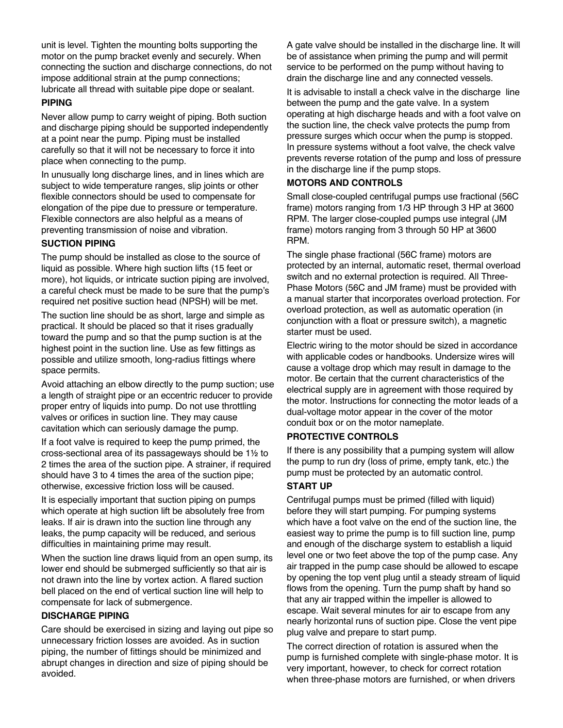unit is level. Tighten the mounting bolts supporting the motor on the pump bracket evenly and securely. When connecting the suction and discharge connections, do not impose additional strain at the pump connections; lubricate all thread with suitable pipe dope or sealant.

# **PIPING**

Never allow pump to carry weight of piping. Both suction and discharge piping should be supported independently at a point near the pump. Piping must be installed carefully so that it will not be necessary to force it into place when connecting to the pump.

In unusually long discharge lines, and in lines which are subject to wide temperature ranges, slip joints or other flexible connectors should be used to compensate for elongation of the pipe due to pressure or temperature. Flexible connectors are also helpful as a means of preventing transmission of noise and vibration.

# **SUCTION PIPING**

The pump should be installed as close to the source of liquid as possible. Where high suction lifts (15 feet or more), hot liquids, or intricate suction piping are involved, a careful check must be made to be sure that the pump's required net positive suction head (NPSH) will be met.

The suction line should be as short, large and simple as practical. It should be placed so that it rises gradually toward the pump and so that the pump suction is at the highest point in the suction line. Use as few fittings as possible and utilize smooth, long-radius fittings where space permits.

Avoid attaching an elbow directly to the pump suction; use a length of straight pipe or an eccentric reducer to provide proper entry of liquids into pump. Do not use throttling valves or orifices in suction line. They may cause cavitation which can seriously damage the pump.

If a foot valve is required to keep the pump primed, the cross-sectional area of its passageways should be 1½ to 2 times the area of the suction pipe. A strainer, if required should have 3 to 4 times the area of the suction pipe; otherwise, excessive friction loss will be caused.

It is especially important that suction piping on pumps which operate at high suction lift be absolutely free from leaks. If air is drawn into the suction line through any leaks, the pump capacity will be reduced, and serious difficulties in maintaining prime may result.

When the suction line draws liquid from an open sump, its lower end should be submerged sufficiently so that air is not drawn into the line by vortex action. A flared suction bell placed on the end of vertical suction line will help to compensate for lack of submergence.

# **DISCHARGE PIPING**

Care should be exercised in sizing and laying out pipe so unnecessary friction losses are avoided. As in suction piping, the number of fittings should be minimized and abrupt changes in direction and size of piping should be avoided.

A gate valve should be installed in the discharge line. It will be of assistance when priming the pump and will permit service to be performed on the pump without having to drain the discharge line and any connected vessels.

It is advisable to install a check valve in the discharge line between the pump and the gate valve. In a system operating at high discharge heads and with a foot valve on the suction line, the check valve protects the pump from pressure surges which occur when the pump is stopped. In pressure systems without a foot valve, the check valve prevents reverse rotation of the pump and loss of pressure in the discharge line if the pump stops.

# **MOTORS AND CONTROLS**

Small close-coupled centrifugal pumps use fractional (56C frame) motors ranging from 1/3 HP through 3 HP at 3600 RPM. The larger close-coupled pumps use integral (JM frame) motors ranging from 3 through 50 HP at 3600 RPM.

The single phase fractional (56C frame) motors are protected by an internal, automatic reset, thermal overload switch and no external protection is required. All Three-Phase Motors (56C and JM frame) must be provided with a manual starter that incorporates overload protection. For overload protection, as well as automatic operation (in conjunction with a float or pressure switch), a magnetic starter must be used.

Electric wiring to the motor should be sized in accordance with applicable codes or handbooks. Undersize wires will cause a voltage drop which may result in damage to the motor. Be certain that the current characteristics of the electrical supply are in agreement with those required by the motor. Instructions for connecting the motor leads of a dual-voltage motor appear in the cover of the motor conduit box or on the motor nameplate.

# **PROTECTIVE CONTROLS**

If there is any possibility that a pumping system will allow the pump to run dry (loss of prime, empty tank, etc.) the pump must be protected by an automatic control.

# **START UP**

Centrifugal pumps must be primed (filled with liquid) before they will start pumping. For pumping systems which have a foot valve on the end of the suction line, the easiest way to prime the pump is to fill suction line, pump and enough of the discharge system to establish a liquid level one or two feet above the top of the pump case. Any air trapped in the pump case should be allowed to escape by opening the top vent plug until a steady stream of liquid flows from the opening. Turn the pump shaft by hand so that any air trapped within the impeller is allowed to escape. Wait several minutes for air to escape from any nearly horizontal runs of suction pipe. Close the vent pipe plug valve and prepare to start pump.

The correct direction of rotation is assured when the pump is furnished complete with single-phase motor. It is very important, however, to check for correct rotation when three-phase motors are furnished, or when drivers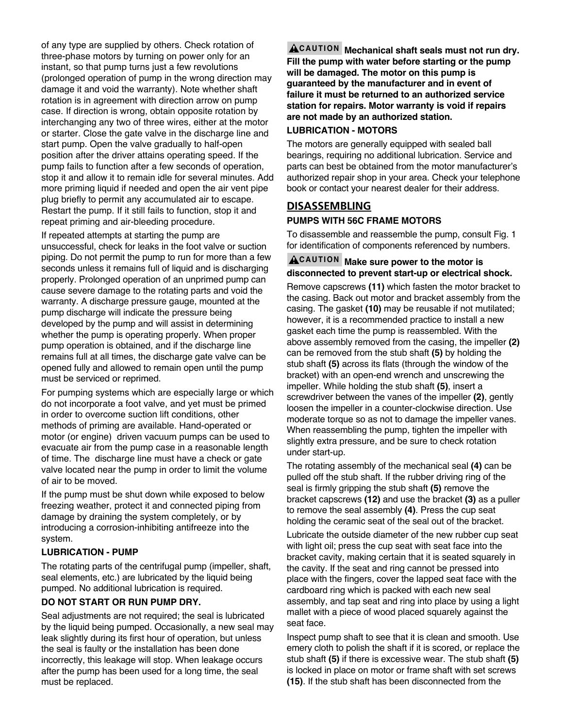of any type are supplied by others. Check rotation of three-phase motors by turning on power only for an instant, so that pump turns just a few revolutions (prolonged operation of pump in the wrong direction may damage it and void the warranty). Note whether shaft rotation is in agreement with direction arrow on pump case. If direction is wrong, obtain opposite rotation by interchanging any two of three wires, either at the motor or starter. Close the gate valve in the discharge line and start pump. Open the valve gradually to half-open position after the driver attains operating speed. If the pump fails to function after a few seconds of operation, stop it and allow it to remain idle for several minutes. Add more priming liquid if needed and open the air vent pipe plug briefly to permit any accumulated air to escape. Restart the pump. If it still fails to function, stop it and repeat priming and air-bleeding procedure.

If repeated attempts at starting the pump are unsuccessful, check for leaks in the foot valve or suction piping. Do not permit the pump to run for more than a few seconds unless it remains full of liquid and is discharging properly. Prolonged operation of an unprimed pump can cause severe damage to the rotating parts and void the warranty. A discharge pressure gauge, mounted at the pump discharge will indicate the pressure being developed by the pump and will assist in determining whether the pump is operating properly. When proper pump operation is obtained, and if the discharge line remains full at all times, the discharge gate valve can be opened fully and allowed to remain open until the pump must be serviced or reprimed.

For pumping systems which are especially large or which do not incorporate a foot valve, and yet must be primed in order to overcome suction lift conditions, other methods of priming are available. Hand-operated or motor (or engine) driven vacuum pumps can be used to evacuate air from the pump case in a reasonable length of time. The discharge line must have a check or gate valve located near the pump in order to limit the volume of air to be moved.

If the pump must be shut down while exposed to below freezing weather, protect it and connected piping from damage by draining the system completely, or by introducing a corrosion-inhibiting antifreeze into the system.

# **LUBRICATION - PUMP**

The rotating parts of the centrifugal pump (impeller, shaft, seal elements, etc.) are lubricated by the liquid being pumped. No additional lubrication is required.

# **DO NOT START OR RUN PUMP DRY.**

Seal adjustments are not required; the seal is lubricated by the liquid being pumped. Occasionally, a new seal may leak slightly during its first hour of operation, but unless the seal is faulty or the installation has been done incorrectly, this leakage will stop. When leakage occurs after the pump has been used for a long time, the seal must be replaced.

**Mechanical shaft seals must not run dry. Fill the pump with water before starting or the pump will be damaged. The motor on this pump is guaranteed by the manufacturer and in event of failure it must be returned to an authorized service station for repairs. Motor warranty is void if repairs are not made by an authorized station.**

# **LUBRICATION - MOTORS**

The motors are generally equipped with sealed ball bearings, requiring no additional lubrication. Service and parts can best be obtained from the motor manufacturer's authorized repair shop in your area. Check your telephone book or contact your nearest dealer for their address.

# **DISASSEMBLING PUMPS WITH 56C FRAME MOTORS**

To disassemble and reassemble the pump, consult Fig. 1 for identification of components referenced by numbers.

# **CAUTION Make sure power to the motor is disconnected to prevent start-up or electrical shock.**

Remove capscrews **(11)** which fasten the motor bracket to the casing. Back out motor and bracket assembly from the casing. The gasket **(10)** may be reusable if not mutilated; however, it is a recommended practice to install a new gasket each time the pump is reassembled. With the above assembly removed from the casing, the impeller **(2)** can be removed from the stub shaft **(5)** by holding the stub shaft **(5)** across its flats (through the window of the bracket) with an open-end wrench and unscrewing the impeller. While holding the stub shaft **(5)**, insert a screwdriver between the vanes of the impeller **(2)**, gently loosen the impeller in a counter-clockwise direction. Use moderate torque so as not to damage the impeller vanes. When reassembling the pump, tighten the impeller with slightly extra pressure, and be sure to check rotation under start-up.

The rotating assembly of the mechanical seal **(4)** can be pulled off the stub shaft. If the rubber driving ring of the seal is firmly gripping the stub shaft **(5)** remove the bracket capscrews **(12)** and use the bracket **(3)** as a puller to remove the seal assembly **(4)**. Press the cup seat holding the ceramic seat of the seal out of the bracket.

Lubricate the outside diameter of the new rubber cup seat with light oil; press the cup seat with seat face into the bracket cavity, making certain that it is seated squarely in the cavity. If the seat and ring cannot be pressed into place with the fingers, cover the lapped seat face with the cardboard ring which is packed with each new seal assembly, and tap seat and ring into place by using a light mallet with a piece of wood placed squarely against the seat face.

Inspect pump shaft to see that it is clean and smooth. Use emery cloth to polish the shaft if it is scored, or replace the stub shaft **(5)** if there is excessive wear. The stub shaft **(5)** is locked in place on motor or frame shaft with set screws **(15)**. If the stub shaft has been disconnected from the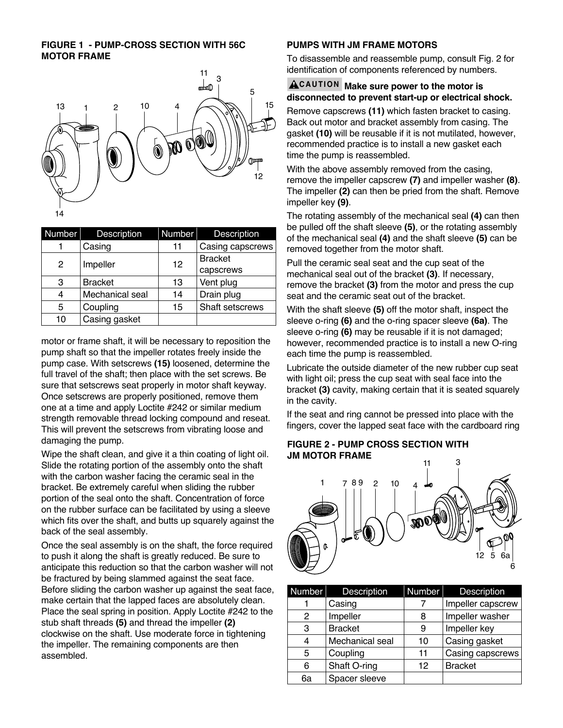# **FIGURE 1 - PUMP-CROSS SECTION WITH 56C MOTOR FRAME**



| Number | Description     | Number | <b>Description</b> |
|--------|-----------------|--------|--------------------|
|        | Casing          | 11     | Casing capscrews   |
| 2      | Impeller        | 12     | <b>Bracket</b>     |
|        |                 |        | capscrews          |
| 3      | <b>Bracket</b>  | 13     | Vent plug          |
| 4      | Mechanical seal | 14     | Drain plug         |
| 5      | Coupling        | 15     | Shaft setscrews    |
| 10     | Casing gasket   |        |                    |

motor or frame shaft, it will be necessary to reposition the pump shaft so that the impeller rotates freely inside the pump case. With setscrews **(15)** loosened, determine the full travel of the shaft; then place with the set screws. Be sure that setscrews seat properly in motor shaft keyway. Once setscrews are properly positioned, remove them one at a time and apply Loctite #242 or similar medium strength removable thread locking compound and reseat. This will prevent the setscrews from vibrating loose and damaging the pump.

Wipe the shaft clean, and give it a thin coating of light oil. Slide the rotating portion of the assembly onto the shaft with the carbon washer facing the ceramic seal in the bracket. Be extremely careful when sliding the rubber portion of the seal onto the shaft. Concentration of force on the rubber surface can be facilitated by using a sleeve which fits over the shaft, and butts up squarely against the back of the seal assembly.

Once the seal assembly is on the shaft, the force required to push it along the shaft is greatly reduced. Be sure to anticipate this reduction so that the carbon washer will not be fractured by being slammed against the seat face. Before sliding the carbon washer up against the seat face, make certain that the lapped faces are absolutely clean. Place the seal spring in position. Apply Loctite #242 to the stub shaft threads **(5)** and thread the impeller **(2)** clockwise on the shaft. Use moderate force in tightening the impeller. The remaining components are then assembled.

# **PUMPS WITH JM FRAME MOTORS**

To disassemble and reassemble pump, consult Fig. 2 for identification of components referenced by numbers.

# **CAUTION Make sure power to the motor is disconnected to prevent start-up or electrical shock.**

Remove capscrews **(11)** which fasten bracket to casing. Back out motor and bracket assembly from casing. The gasket **(10)** will be reusable if it is not mutilated, however, recommended practice is to install a new gasket each time the pump is reassembled.

With the above assembly removed from the casing, remove the impeller capscrew **(7)** and impeller washer **(8)**. The impeller **(2)** can then be pried from the shaft. Remove impeller key **(9)**.

The rotating assembly of the mechanical seal **(4)** can then be pulled off the shaft sleeve **(5)**, or the rotating assembly of the mechanical seal **(4)** and the shaft sleeve **(5)** can be removed together from the motor shaft.

Pull the ceramic seal seat and the cup seat of the mechanical seal out of the bracket **(3)**. If necessary, remove the bracket **(3)** from the motor and press the cup seat and the ceramic seat out of the bracket.

With the shaft sleeve **(5)** off the motor shaft, inspect the sleeve o-ring **(6)** and the o-ring spacer sleeve **(6a)**. The sleeve o-ring **(6)** may be reusable if it is not damaged; however, recommended practice is to install a new O-ring each time the pump is reassembled.

Lubricate the outside diameter of the new rubber cup seat with light oil; press the cup seat with seal face into the bracket **(3)** cavity, making certain that it is seated squarely in the cavity.

If the seat and ring cannot be pressed into place with the fingers, cover the lapped seat face with the cardboard ring

# **FIGURE 2 - PUMP CROSS SECTION WITH JM MOTOR FRAME**



| <b>Number</b> | <b>Description</b> | <b>Number</b> | <b>Description</b> |
|---------------|--------------------|---------------|--------------------|
|               | Casing             |               | Impeller capscrew  |
| 2             | Impeller           | 8             | Impeller washer    |
| 3             | <b>Bracket</b>     | 9             | Impeller key       |
| 4             | Mechanical seal    | 10            | Casing gasket      |
| 5             | Coupling           | 11            | Casing capscrews   |
| 6             | Shaft O-ring       | 12            | <b>Bracket</b>     |
| 6a            | Spacer sleeve      |               |                    |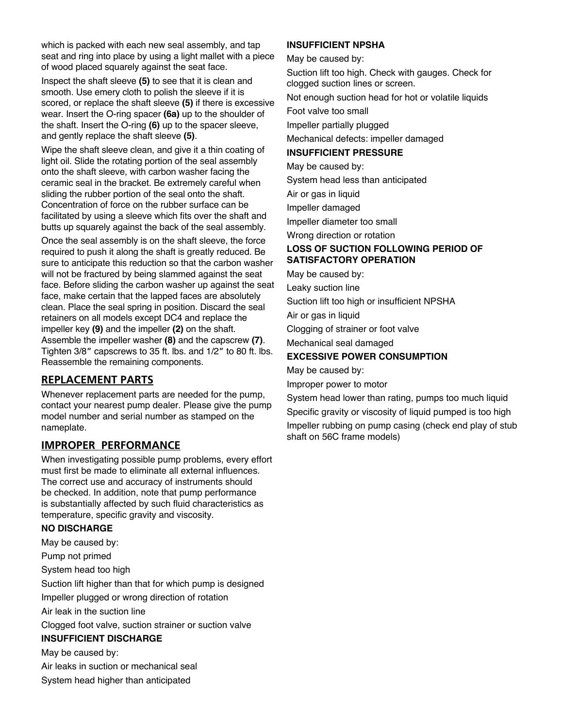which is packed with each new seal assembly, and tap seat and ring into place by using a light mallet with a piece of wood placed squarely against the seat face.

Inspect the shaft sleeve **(5)** to see that it is clean and smooth. Use emery cloth to polish the sleeve if it is scored, or replace the shaft sleeve **(5)** if there is excessive wear. Insert the O-ring spacer **(6a)** up to the shoulder of the shaft. Insert the O-ring **(6)** up to the spacer sleeve, and gently replace the shaft sleeve **(5)**.

Wipe the shaft sleeve clean, and give it a thin coating of light oil. Slide the rotating portion of the seal assembly onto the shaft sleeve, with carbon washer facing the ceramic seal in the bracket. Be extremely careful when sliding the rubber portion of the seal onto the shaft. Concentration of force on the rubber surface can be facilitated by using a sleeve which fits over the shaft and butts up squarely against the back of the seal assembly.

Once the seal assembly is on the shaft sleeve, the force required to push it along the shaft is greatly reduced. Be sure to anticipate this reduction so that the carbon washer will not be fractured by being slammed against the seat face. Before sliding the carbon washer up against the seat face, make certain that the lapped faces are absolutely clean. Place the seal spring in position. Discard the seal retainers on all models except DC4 and replace the impeller key **(9)** and the impeller **(2)** on the shaft. Assemble the impeller washer **(8)** and the capscrew **(7)**. Tighten 3/8" capscrews to 35 ft. lbs. and 1/2" to 80 ft. lbs. Reassemble the remaining components.

# **REPLACEMENT PARTS**

Whenever replacement parts are needed for the pump, contact your nearest pump dealer. Please give the pump model number and serial number as stamped on the nameplate.

# **IMPROPER PERFORMANCE**

When investigating possible pump problems, every effort must first be made to eliminate all external influences. The correct use and accuracy of instruments should be checked. In addition, note that pump performance is substantially affected by such fluid characteristics as temperature, specific gravity and viscosity.

# **NO DISCHARGE**

May be caused by:

Pump not primed

System head too high

Suction lift higher than that for which pump is designed

Impeller plugged or wrong direction of rotation

Air leak in the suction line

Clogged foot valve, suction strainer or suction valve

# **INSUFFICIENT DISCHARGE**

May be caused by:

- Air leaks in suction or mechanical seal
- System head higher than anticipated

# **INSUFFICIENT NPSHA**

May be caused by:

Suction lift too high. Check with gauges. Check for clogged suction lines or screen.

Not enough suction head for hot or volatile liquids

Foot valve too small

Impeller partially plugged

Mechanical defects: impeller damaged

# **INSUFFICIENT PRESSURE**

May be caused by:

System head less than anticipated

Air or gas in liquid

Impeller damaged

Impeller diameter too small

Wrong direction or rotation

# **LOSS OF SUCTION FOLLOWING PERIOD OF SATISFACTORY OPERATION**

May be caused by:

Leaky suction line

Suction lift too high or insufficient NPSHA

Air or gas in liquid

Clogging of strainer or foot valve

Mechanical seal damaged

# **EXCESSIVE POWER CONSUMPTION**

May be caused by:

Improper power to motor

System head lower than rating, pumps too much liquid Specific gravity or viscosity of liquid pumped is too high Impeller rubbing on pump casing (check end play of stub shaft on 56C frame models)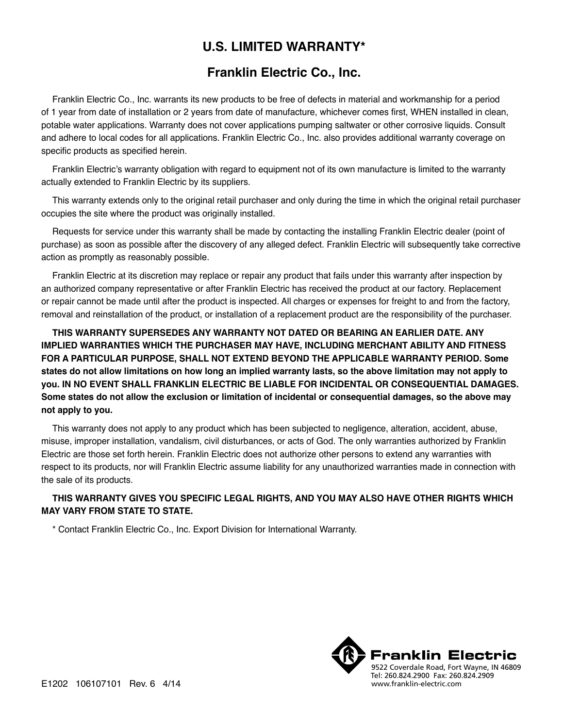# **U.S. LIMITED WARRANTY\***

# **Franklin Electric Co., Inc.**

Franklin Electric Co., Inc. warrants its new products to be free of defects in material and workmanship for a period of 1 year from date of installation or 2 years from date of manufacture, whichever comes first, WHEN installed in clean, potable water applications. Warranty does not cover applications pumping saltwater or other corrosive liquids. Consult and adhere to local codes for all applications. Franklin Electric Co., Inc. also provides additional warranty coverage on specific products as specified herein.

Franklin Electric's warranty obligation with regard to equipment not of its own manufacture is limited to the warranty actually extended to Franklin Electric by its suppliers.

This warranty extends only to the original retail purchaser and only during the time in which the original retail purchaser occupies the site where the product was originally installed.

Requests for service under this warranty shall be made by contacting the installing Franklin Electric dealer (point of purchase) as soon as possible after the discovery of any alleged defect. Franklin Electric will subsequently take corrective action as promptly as reasonably possible.

Franklin Electric at its discretion may replace or repair any product that fails under this warranty after inspection by an authorized company representative or after Franklin Electric has received the product at our factory. Replacement or repair cannot be made until after the product is inspected. All charges or expenses for freight to and from the factory, removal and reinstallation of the product, or installation of a replacement product are the responsibility of the purchaser.

**THIS WARRANTY SUPERSEDES ANY WARRANTY NOT DATED OR BEARING AN EARLIER DATE. ANY IMPLIED WARRANTIES WHICH THE PURCHASER MAY HAVE, INCLUDING MERCHANT ABILITY AND FITNESS FOR A PARTICULAR PURPOSE, SHALL NOT EXTEND BEYOND THE APPLICABLE WARRANTY PERIOD. Some states do not allow limitations on how long an implied warranty lasts, so the above limitation may not apply to you. IN NO EVENT SHALL FRANKLIN ELECTRIC BE LIABLE FOR INCIDENTAL OR CONSEQUENTIAL DAMAGES. Some states do not allow the exclusion or limitation of incidental or consequential damages, so the above may not apply to you.**

This warranty does not apply to any product which has been subjected to negligence, alteration, accident, abuse, misuse, improper installation, vandalism, civil disturbances, or acts of God. The only warranties authorized by Franklin Electric are those set forth herein. Franklin Electric does not authorize other persons to extend any warranties with respect to its products, nor will Franklin Electric assume liability for any unauthorized warranties made in connection with the sale of its products.

# **THIS WARRANTY GIVES YOU SPECIFIC LEGAL RIGHTS, AND YOU MAY ALSO HAVE OTHER RIGHTS WHICH MAY VARY FROM STATE TO STATE.**

\* Contact Franklin Electric Co., Inc. Export Division for International Warranty.

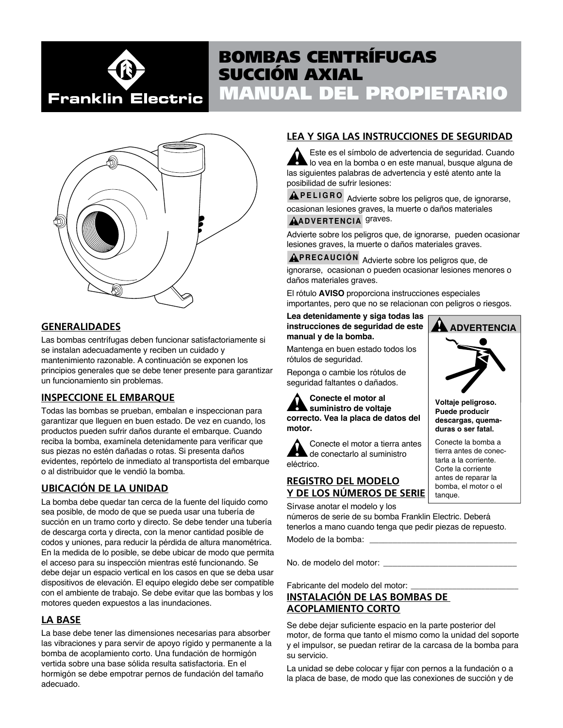# Franklin Electric

# MANUAL DEL PROPIETARIO BOMBAS CENTRÍFUGAS SUCCIÓN AXIAL



# **GENERALIDADES**

Las bombas centrífugas deben funcionar satisfactoriamente si se instalan adecuadamente y reciben un cuidado y mantenimiento razonable. A continuación se exponen los principios generales que se debe tener presente para garantizar un funcionamiento sin problemas.

# **INSPECCIONE EL EMBARQUE**

Todas las bombas se prueban, embalan e inspeccionan para garantizar que lleguen en buen estado. De vez en cuando, los productos pueden sufrir daños durante el embarque. Cuando reciba la bomba, examínela detenidamente para verificar que sus piezas no estén dañadas o rotas. Si presenta daños evidentes, repórtelo de inmediato al transportista del embarque o al distribuidor que le vendió la bomba.

# **UBICACIÓN DE LA UNIDAD**

La bomba debe quedar tan cerca de la fuente del líquido como sea posible, de modo de que se pueda usar una tubería de succión en un tramo corto y directo. Se debe tender una tubería de descarga corta y directa, con la menor cantidad posible de codos y uniones, para reducir la pérdida de altura manométrica. En la medida de lo posible, se debe ubicar de modo que permita el acceso para su inspección mientras esté funcionando. Se debe dejar un espacio vertical en los casos en que se deba usar dispositivos de elevación. El equipo elegido debe ser compatible con el ambiente de trabajo. Se debe evitar que las bombas y los motores queden expuestos a las inundaciones.

# **LA BASE**

La base debe tener las dimensiones necesarias para absorber las vibraciones y para servir de apoyo rígido y permanente a la bomba de acoplamiento corto. Una fundación de hormigón vertida sobre una base sólida resulta satisfactoria. En el hormigón se debe empotrar pernos de fundación del tamaño adecuado.

# **LEA Y SIGA LAS INSTRUCCIONES DE SEGURIDAD**

Este es el símbolo de advertencia de seguridad. Cuando lo vea en la bomba o en este manual, busque alguna de las siguientes palabras de advertencia y esté atento ante la posibilidad de sufrir lesiones:

**PELIGRO** Advierte sobre los peligros que, de ignorarse, ocasionan lesiones graves, la muerte o daños materiales

# **ADVERTENCIA** graves.

Advierte sobre los peligros que, de ignorarse, pueden ocasionar lesiones graves, la muerte o daños materiales graves.

**PRECAUCIÓN** Advierte sobre los peligros que, de ignorarse, ocasionan o pueden ocasionar lesiones menores o daños materiales graves.

El rótulo **AVISO** proporciona instrucciones especiales importantes, pero que no se relacionan con peligros o riesgos.

### **Lea detenidamente y siga todas las instrucciones de seguridad de este manual y de la bomba.**

Mantenga en buen estado todos los rótulos de seguridad.

Reponga o cambie los rótulos de seguridad faltantes o dañados.

**Conecte el motor al suministro de voltaje correcto. Vea la placa de datos del motor.**

Conecte el motor a tierra antes de conectarlo al suministro eléctrico.

# **REGISTRO DEL MODELO Y DE LOS NÚMEROS DE SERIE**

Sírvase anotar el modelo y los

números de serie de su bomba Franklin Electric. Deberá tenerlos a mano cuando tenga que pedir piezas de repuesto.

Modelo de la bomba:

No. de modelo del motor:

Fabricante del modelo del motor:

# **INSTALACIÓN DE LAS BOMBAS DE ACOPLAMIENTO CORTO**

Se debe dejar suficiente espacio en la parte posterior del motor, de forma que tanto el mismo como la unidad del soporte y el impulsor, se puedan retirar de la carcasa de la bomba para su servicio.

La unidad se debe colocar y fijar con pernos a la fundación o a la placa de base, de modo que las conexiones de succión y de



**Voltaje peligroso. Puede producir descargas, quemaduras o ser fatal.**

Conecte la bomba a tierra antes de conectarla a la corriente. Corte la corriente antes de reparar la bomba, el motor o el tanque.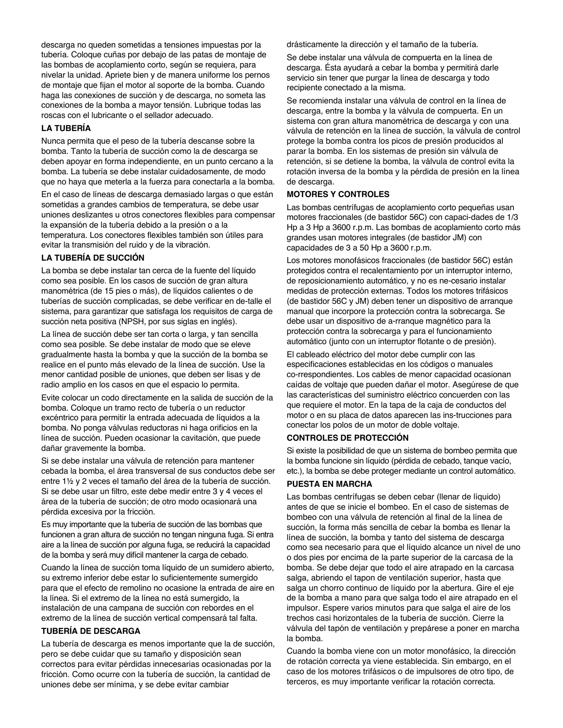descarga no queden sometidas a tensiones impuestas por la tubería. Coloque cuñas por debajo de las patas de montaje de las bombas de acoplamiento corto, según se requiera, para nivelar la unidad. Apriete bien y de manera uniforme los pernos de montaje que fijan el motor al soporte de la bomba. Cuando haga las conexiones de succión y de descarga, no someta las conexiones de la bomba a mayor tensión. Lubrique todas las roscas con el lubricante o el sellador adecuado.

# **LA TUBERÍA**

Nunca permita que el peso de la tubería descanse sobre la bomba. Tanto la tubería de succión como la de descarga se deben apoyar en forma independiente, en un punto cercano a la bomba. La tubería se debe instalar cuidadosamente, de modo que no haya que meterla a la fuerza para conectarla a la bomba.

En el caso de líneas de descarga demasiado largas o que están sometidas a grandes cambios de temperatura, se debe usar uniones deslizantes u otros conectores flexibles para compensar la expansión de la tubería debido a la presión o a la temperatura. Los conectores flexibles también son útiles para evitar la transmisión del ruido y de la vibración.

# **LA TUBERÍA DE SUCCIÓN**

La bomba se debe instalar tan cerca de la fuente del líquido como sea posible. En los casos de succión de gran altura manométrica (de 15 pies o más), de líquidos calientes o de tuberías de succión complicadas, se debe verificar en de-talle el sistema, para garantizar que satisfaga los requisitos de carga de succión neta positiva (NPSH, por sus siglas en inglés).

La línea de succión debe ser tan corta o larga, y tan sencilla como sea posible. Se debe instalar de modo que se eleve gradualmente hasta la bomba y que la succión de la bomba se realice en el punto más elevado de la línea de succión. Use la menor cantidad posible de uniones, que deben ser lisas y de radio amplio en los casos en que el espacio lo permita.

Evite colocar un codo directamente en la salida de succión de la bomba. Coloque un tramo recto de tubería o un reductor excéntrico para permitir la entrada adecuada de líquidos a la bomba. No ponga válvulas reductoras ni haga orificios en la línea de succión. Pueden ocasionar la cavitación, que puede dañar gravemente la bomba.

Si se debe instalar una válvula de retención para mantener cebada la bomba, el área transversal de sus conductos debe ser entre 1½ y 2 veces el tamaño del área de la tubería de succión. Si se debe usar un filtro, este debe medir entre 3 y 4 veces el área de la tubería de succión; de otro modo ocasionará una pérdida excesiva por la fricción.

Es muy importante que la tubería de succión de las bombas que funcionen a gran altura de succión no tengan ninguna fuga. Si entra aire a la línea de succión por alguna fuga, se reducirá la capacidad de la bomba y será muy difícil mantener la carga de cebado.

Cuando la línea de succión toma líquido de un sumidero abierto, su extremo inferior debe estar lo suficientemente sumergido para que el efecto de remolino no ocasione la entrada de aire en la línea. Si el extremo de la línea no está sumergido, la instalación de una campana de succión con rebordes en el extremo de la línea de succión vertical compensará tal falta.

# **TUBERÍA DE DESCARGA**

La tubería de descarga es menos importante que la de succión, pero se debe cuidar que su tamaño y disposición sean correctos para evitar pérdidas innecesarias ocasionadas por la fricción. Como ocurre con la tubería de succión, la cantidad de uniones debe ser mínima, y se debe evitar cambiar

drásticamente la dirección y el tamaño de la tubería.

Se debe instalar una válvula de compuerta en la línea de descarga. Ésta ayudará a cebar la bomba y permitirá darle servicio sin tener que purgar la línea de descarga y todo recipiente conectado a la misma.

Se recomienda instalar una válvula de control en la línea de descarga, entre la bomba y la válvula de compuerta. En un sistema con gran altura manométrica de descarga y con una válvula de retención en la línea de succión, la válvula de control protege la bomba contra los picos de presión producidos al parar la bomba. En los sistemas de presión sin válvula de retención, si se detiene la bomba, la válvula de control evita la rotación inversa de la bomba y la pérdida de presión en la línea de descarga.

#### **MOTORES Y CONTROLES**

Las bombas centrífugas de acoplamiento corto pequeñas usan motores fraccionales (de bastidor 56C) con capaci-dades de 1/3 Hp a 3 Hp a 3600 r.p.m. Las bombas de acoplamiento corto más grandes usan motores integrales (de bastidor JM) con capacidades de 3 a 50 Hp a 3600 r.p.m.

Los motores monofásicos fraccionales (de bastidor 56C) están protegidos contra el recalentamiento por un interruptor interno, de reposicionamiento automático, y no es ne-cesario instalar medidas de protección externas. Todos los motores trifásicos (de bastidor 56C y JM) deben tener un dispositivo de arranque manual que incorpore la protección contra la sobrecarga. Se debe usar un dispositivo de a-rranque magnético para la protección contra la sobrecarga y para el funcionamiento automático (junto con un interruptor flotante o de presión).

El cableado eléctrico del motor debe cumplir con las especificaciones establecidas en los códigos o manuales co-rrespondientes. Los cables de menor capacidad ocasionan caídas de voltaje que pueden dañar el motor. Asegúrese de que las características del suministro eléctrico concuerden con las que requiere el motor. En la tapa de la caja de conductos del motor o en su placa de datos aparecen las ins-trucciones para conectar los polos de un motor de doble voltaje.

# **CONTROLES DE PROTECCIÓN**

Si existe la posibilidad de que un sistema de bombeo permita que la bomba funcione sin líquido (pérdida de cebado, tanque vacío, etc.), la bomba se debe proteger mediante un control automático.

#### **PUESTA EN MARCHA**

Las bombas centrífugas se deben cebar (llenar de líquido) antes de que se inicie el bombeo. En el caso de sistemas de bombeo con una válvula de retención al final de la línea de succión, la forma más sencilla de cebar la bomba es llenar la línea de succión, la bomba y tanto del sistema de descarga como sea necesario para que el líquido alcance un nivel de uno o dos pies por encima de la parte superior de la carcasa de la bomba. Se debe dejar que todo el aire atrapado en la carcasa salga, abriendo el tapon de ventilación superior, hasta que salga un chorro continuo de líquido por la abertura. Gire el eje de la bomba a mano para que salga todo el aire atrapado en el impulsor. Espere varios minutos para que salga el aire de los trechos casi horizontales de la tubería de succión. Cierre la válvula del tapón de ventilación y prepárese a poner en marcha la bomba.

Cuando la bomba viene con un motor monofásico, la dirección de rotación correcta ya viene establecida. Sin embargo, en el caso de los motores trifásicos o de impulsores de otro tipo, de terceros, es muy importante verificar la rotación correcta.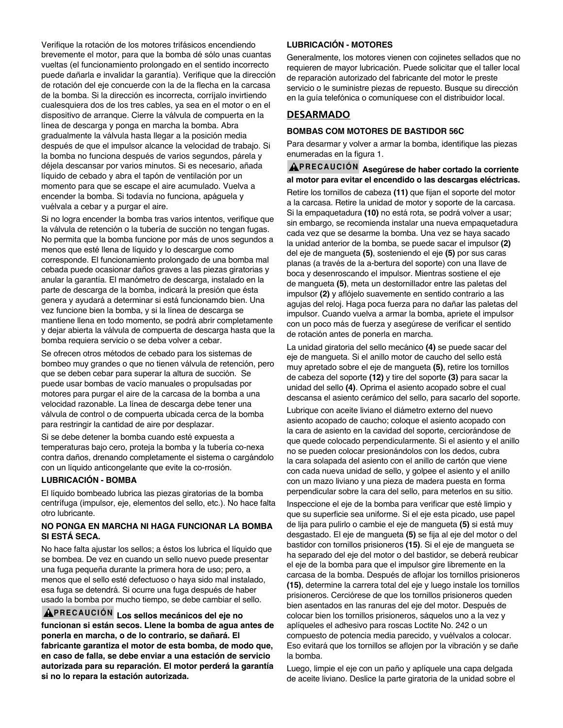Verifique la rotación de los motores trifásicos encendiendo brevemente el motor, para que la bomba dé sólo unas cuantas vueltas (el funcionamiento prolongado en el sentido incorrecto puede dañarla e invalidar la garantía). Verifique que la dirección de rotación del eje concuerde con la de la flecha en la carcasa de la bomba. Si la dirección es incorrecta, corríjalo invirtiendo cualesquiera dos de los tres cables, ya sea en el motor o en el dispositivo de arranque. Cierre la válvula de compuerta en la línea de descarga y ponga en marcha la bomba. Abra gradualmente la válvula hasta llegar a la posición media después de que el impulsor alcance la velocidad de trabajo. Si la bomba no funciona después de varios segundos, párela y déjela descansar por varios minutos. Si es necesario, añada líquido de cebado y abra el tapón de ventilación por un momento para que se escape el aire acumulado. Vuelva a encender la bomba. Si todavía no funciona, apáguela y vuélvala a cebar y a purgar el aire.

Si no logra encender la bomba tras varios intentos, verifique que la válvula de retención o la tubería de succión no tengan fugas. No permita que la bomba funcione por más de unos segundos a menos que esté llena de líquido y lo descargue como corresponde. El funcionamiento prolongado de una bomba mal cebada puede ocasionar daños graves a las piezas giratorias y anular la garantía. El manómetro de descarga, instalado en la parte de descarga de la bomba, indicará la presión que ésta genera y ayudará a determinar si está funcionamdo bien. Una vez funcione bien la bomba, y si la línea de descarga se mantiene llena en todo momento, se podrá abrir completamente y dejar abierta la válvula de compuerta de descarga hasta que la bomba requiera servicio o se deba volver a cebar.

Se ofrecen otros métodos de cebado para los sistemas de bombeo muy grandes o que no tienen válvula de retención, pero que se deben cebar para superar la altura de succión. Se puede usar bombas de vacío manuales o propulsadas por motores para purgar el aire de la carcasa de la bomba a una velocidad razonable. La línea de descarga debe tener una válvula de control o de compuerta ubicada cerca de la bomba para restringir la cantidad de aire por desplazar.

Si se debe detener la bomba cuando esté expuesta a temperaturas bajo cero, proteja la bomba y la tubería co-nexa contra daños, drenando completamente el sistema o cargándolo con un líquido anticongelante que evite la co-rrosión.

#### **LUBRICACIÓN - BOMBA**

El líquido bombeado lubrica las piezas giratorias de la bomba centrífuga (impulsor, eje, elementos del sello, etc.). No hace falta otro lubricante.

#### **NO PONGA EN MARCHA NI HAGA FUNCIONAR LA BOMBA SI ESTÁ SECA.**

No hace falta ajustar los sellos; a éstos los lubrica el líquido que se bombea. De vez en cuando un sello nuevo puede presentar una fuga pequeña durante la primera hora de uso; pero, a menos que el sello esté defectuoso o haya sido mal instalado, esa fuga se detendrá. Si ocurre una fuga después de haber usado la bomba por mucho tiempo, se debe cambiar el sello.

**PRECAUCIÓN Los sellos mecánicos del eje no funcionan si están secos. Llene la bomba de agua antes de ponerla en marcha, o de lo contrario, se dañará. El fabricante garantiza el motor de esta bomba, de modo que, en caso de falla, se debe enviar a una estación de servicio autorizada para su reparación. El motor perderá la garantía si no lo repara la estación autorizada.**

# **LUBRICACIÓN - MOTORES**

Generalmente, los motores vienen con cojinetes sellados que no requieren de mayor lubricación. Puede solicitar que el taller local de reparación autorizado del fabricante del motor le preste servicio o le suministre piezas de repuesto. Busque su dirección en la guía telefónica o comuníquese con el distribuidor local.

# **DESARMADO**

#### **BOMBAS COM MOTORES DE BASTIDOR 56C**

Para desarmar y volver a armar la bomba, identifique las piezas enumeradas en la figura 1.

# **PRECAUCIÓN Asegúrese de haber cortado la corriente al motor para evitar el encendido o las descargas eléctricas.**

Retire los tornillos de cabeza **(11)** que fijan el soporte del motor a la carcasa. Retire la unidad de motor y soporte de la carcasa. Si la empaquetadura **(10)** no está rota, se podrá volver a usar; sin embargo, se recomienda instalar una nueva empaquetadura cada vez que se desarme la bomba. Una vez se haya sacado la unidad anterior de la bomba, se puede sacar el impulsor **(2)** del eje de mangueta **(5)**, sosteniendo el eje **(5)** por sus caras planas (a través de la a-bertura del soporte) con una llave de boca y desenroscando el impulsor. Mientras sostiene el eje de mangueta **(5)**, meta un destornillador entre las paletas del impulsor **(2)** y aflójelo suavemente en sentido contrario a las agujas del reloj. Haga poca fuerza para no dañar las paletas del impulsor. Cuando vuelva a armar la bomba, apriete el impulsor con un poco más de fuerza y asegúrese de verificar el sentido de rotación antes de ponerla en marcha.

La unidad giratoria del sello mecánico **(4)** se puede sacar del eje de mangueta. Si el anillo motor de caucho del sello está muy apretado sobre el eje de mangueta **(5)**, retire los tornillos de cabeza del soporte **(12)** y tire del soporte **(3)** para sacar la unidad del sello **(4)**. Oprima el asiento acopado sobre el cual descansa el asiento cerámico del sello, para sacarlo del soporte.

Lubrique con aceite liviano el diámetro externo del nuevo asiento acopado de caucho; coloque el asiento acopado con la cara de asiento en la cavidad del soporte, cerciorándose de que quede colocado perpendicularmente. Si el asiento y el anillo no se pueden colocar presionándolos con los dedos, cubra la cara solapada del asiento con el anillo de cartón que viene con cada nueva unidad de sello, y golpee el asiento y el anillo con un mazo liviano y una pieza de madera puesta en forma perpendicular sobre la cara del sello, para meterlos en su sitio.

Inspeccione el eje de la bomba para verificar que esté limpio y que su superficie sea uniforme. Si el eje esta picado, use papel de lija para pulirlo o cambie el eje de mangueta **(5)** si está muy desgastado. El eje de mangueta **(5)** se fija al eje del motor o del bastidor con tornillos prisioneros **(15)**. Si el eje de mangueta se ha separado del eje del motor o del bastidor, se deberá reubicar el eje de la bomba para que el impulsor gire libremente en la carcasa de la bomba. Después de aflojar los tornillos prisioneros **(15)**, determine la carrera total del eje y luego instale los tornillos prisioneros. Cerciórese de que los tornillos prisioneros queden bien asentados en las ranuras del eje del motor. Después de colocar bien los tornillos prisioneros, sáquelos uno a la vez y aplíqueles el adhesivo para roscas Loctite No. 242 o un compuesto de potencia media parecido, y vuélvalos a colocar. Eso evitará que los tornillos se aflojen por la vibración y se dañe la bomba.

Luego, limpie el eje con un paño y aplíquele una capa delgada de aceite liviano. Deslice la parte giratoria de la unidad sobre el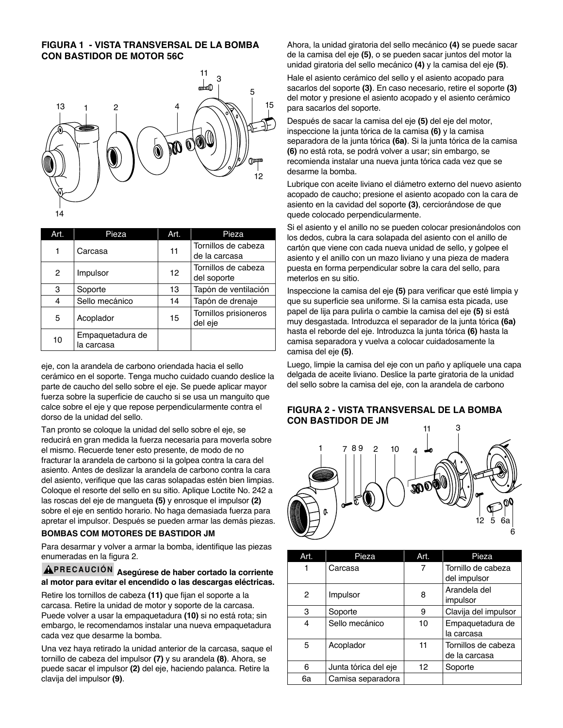# **FIGURA 1 - VISTA TRANSVERSAL DE LA BOMBA CON BASTIDOR DE MOTOR 56C**



| Art.          | Pieza                          | Art. | Pieza                                |
|---------------|--------------------------------|------|--------------------------------------|
|               | Carcasa                        | 11   | Tornillos de cabeza<br>de la carcasa |
| $\mathcal{P}$ | Impulsor                       | 12   | Tornillos de cabeza<br>del soporte   |
| 3             | Soporte                        | 13   | Tapón de ventilación                 |
| 4             | Sello mecánico                 | 14   | Tapón de drenaje                     |
| 5             | Acoplador                      | 15   | Tornillos prisioneros<br>del eje     |
| 10            | Empaquetadura de<br>la carcasa |      |                                      |

eje, con la arandela de carbono oriendada hacia el sello cerámico en el soporte. Tenga mucho cuidado cuando deslice la parte de caucho del sello sobre el eje. Se puede aplicar mayor fuerza sobre la superficie de caucho si se usa un manguito que calce sobre el eje y que repose perpendicularmente contra el dorso de la unidad del sello.

Tan pronto se coloque la unidad del sello sobre el eje, se reducirá en gran medida la fuerza necesaria para moverla sobre el mismo. Recuerde tener esto presente, de modo de no fracturar la arandela de carbono si la golpea contra la cara del asiento. Antes de deslizar la arandela de carbono contra la cara del asiento, verifique que las caras solapadas estén bien limpias. Coloque el resorte del sello en su sitio. Aplique Loctite No. 242 a las roscas del eje de mangueta **(5)** y enrosque el impulsor **(2)** sobre el eje en sentido horario. No haga demasiada fuerza para apretar el impulsor. Después se pueden armar las demás piezas.

# **BOMBAS COM MOTORES DE BASTIDOR JM**

Para desarmar y volver a armar la bomba, identifique las piezas enumeradas en la figura 2.

## **PRECAUCIÓN Asegúrese de haber cortado la corriente al motor para evitar el encendido o las descargas eléctricas.**

Retire los tornillos de cabeza **(11)** que fijan el soporte a la carcasa. Retire la unidad de motor y soporte de la carcasa. Puede volver a usar la empaquetadura **(10)** si no está rota; sin embargo, le recomendamos instalar una nueva empaquetadura cada vez que desarme la bomba.

Una vez haya retirado la unidad anterior de la carcasa, saque el tornillo de cabeza del impulsor **(7)** y su arandela **(8)**. Ahora, se puede sacar el impulsor **(2)** del eje, haciendo palanca. Retire la clavija del impulsor **(9)**.

Ahora, la unidad giratoria del sello mecánico **(4)** se puede sacar de la camisa del eje **(5)**, o se pueden sacar juntos del motor la unidad giratoria del sello mecánico **(4)** y la camisa del eje **(5)**.

Hale el asiento cerámico del sello y el asiento acopado para sacarlos del soporte **(3)**. En caso necesario, retire el soporte **(3)** del motor y presione el asiento acopado y el asiento cerámico para sacarlos del soporte.

Después de sacar la camisa del eje **(5)** del eje del motor, inspeccione la junta tórica de la camisa **(6)** y la camisa separadora de la junta tórica **(6a)**. Si la junta tórica de la camisa **(6)** no está rota, se podrá volver a usar; sin embargo, se recomienda instalar una nueva junta tórica cada vez que se desarme la bomba.

Lubrique con aceite liviano el diámetro externo del nuevo asiento acopado de caucho; presione el asiento acopado con la cara de asiento en la cavidad del soporte **(3)**, cerciorándose de que quede colocado perpendicularmente.

Si el asiento y el anillo no se pueden colocar presionándolos con los dedos, cubra la cara solapada del asiento con el anillo de cartón que viene con cada nueva unidad de sello, y golpee el asiento y el anillo con un mazo liviano y una pieza de madera puesta en forma perpendicular sobre la cara del sello, para meterlos en su sitio.

Inspeccione la camisa del eje **(5)** para verificar que esté limpia y que su superficie sea uniforme. Si la camisa esta picada, use papel de lija para pulirla o cambie la camisa del eje **(5)** si está muy desgastada. Introduzca el separador de la junta tórica **(6a)** hasta el reborde del eje. Introduzca la junta tórica **(6)** hasta la camisa separadora y vuelva a colocar cuidadosamente la camisa del eje **(5)**.

Luego, limpie la camisa del eje con un paño y aplíquele una capa delgada de aceite liviano. Deslice la parte giratoria de la unidad del sello sobre la camisa del eje, con la arandela de carbono

# **FIGURA 2 - VISTA TRANSVERSAL DE LA BOMBA CON BASTIDOR DE JM**



| Art. | Pieza                | Art.              | Pieza                              |
|------|----------------------|-------------------|------------------------------------|
|      | Carcasa              | 7                 | Tornillo de cabeza<br>del impulsor |
|      |                      |                   |                                    |
| 2    | Impulsor             | 8                 | Arandela del                       |
|      |                      |                   | impulsor                           |
| 3    | Soporte              | 9                 | Clavija del impulsor               |
| 4    | Sello mecánico       | 10                | Empaquetadura de                   |
|      |                      |                   | la carcasa                         |
| 5    | Acoplador            | 11                | Tornillos de cabeza                |
|      |                      |                   | de la carcasa                      |
| 6    | Junta tórica del eje | $12 \overline{ }$ | Soporte                            |
| 6a   | Camisa separadora    |                   |                                    |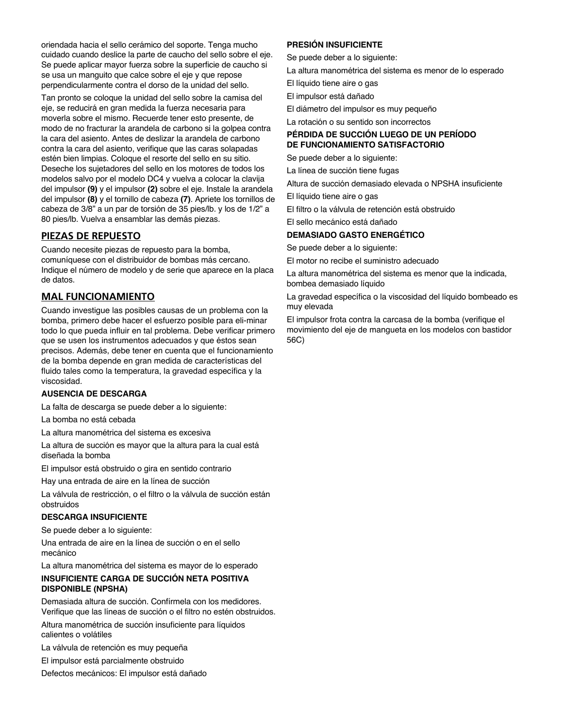oriendada hacia el sello cerámico del soporte. Tenga mucho cuidado cuando deslice la parte de caucho del sello sobre el eje. Se puede aplicar mayor fuerza sobre la superficie de caucho si se usa un manguito que calce sobre el eje y que repose perpendicularmente contra el dorso de la unidad del sello.

Tan pronto se coloque la unidad del sello sobre la camisa del eje, se reducirá en gran medida la fuerza necesaria para moverla sobre el mismo. Recuerde tener esto presente, de modo de no fracturar la arandela de carbono si la golpea contra la cara del asiento. Antes de deslizar la arandela de carbono contra la cara del asiento, verifique que las caras solapadas estén bien limpias. Coloque el resorte del sello en su sitio. Deseche los sujetadores del sello en los motores de todos los modelos salvo por el modelo DC4 y vuelva a colocar la clavija del impulsor **(9)** y el impulsor **(2)** sobre el eje. Instale la arandela del impulsor **(8)** y el tornillo de cabeza **(7)**. Apriete los tornillos de cabeza de 3/8" a un par de torsión de 35 pies/lb. y los de 1/2" a 80 pies/lb. Vuelva a ensamblar las demás piezas.

# **PIEZAS DE REPUESTO**

Cuando necesite piezas de repuesto para la bomba, comuníquese con el distribuidor de bombas más cercano. Indique el número de modelo y de serie que aparece en la placa de datos.

# **MAL FUNCIONAMIENTO**

Cuando investigue las posibles causas de un problema con la bomba, primero debe hacer el esfuerzo posible para eli-minar todo lo que pueda influir en tal problema. Debe verificar primero que se usen los instrumentos adecuados y que éstos sean precisos. Además, debe tener en cuenta que el funcionamiento de la bomba depende en gran medida de características del fluido tales como la temperatura, la gravedad específica y la viscosidad.

## **AUSENCIA DE DESCARGA**

La falta de descarga se puede deber a lo siguiente:

La bomba no está cebada

La altura manométrica del sistema es excesiva

La altura de succión es mayor que la altura para la cual está diseñada la bomba

El impulsor está obstruido o gira en sentido contrario

Hay una entrada de aire en la línea de succión

La válvula de restricción, o el filtro o la válvula de succión están obstruidos

#### **DESCARGA INSUFICIENTE**

Se puede deber a lo siguiente:

Una entrada de aire en la línea de succión o en el sello mecánico

La altura manométrica del sistema es mayor de lo esperado

## **INSUFICIENTE CARGA DE SUCCIÓN NETA POSITIVA DISPONIBLE (NPSHA)**

Demasiada altura de succión. Confírmela con los medidores. Verifique que las líneas de succión o el filtro no estén obstruidos.

Altura manométrica de succión insuficiente para líquidos calientes o volátiles

La válvula de retención es muy pequeña

El impulsor está parcialmente obstruido

Defectos mecánicos: El impulsor está dañado

# **PRESIÓN INSUFICIENTE**

Se puede deber a lo siguiente:

La altura manométrica del sistema es menor de lo esperado

- El líquido tiene aire o gas
- El impulsor está dañado
- El diámetro del impulsor es muy pequeño

La rotación o su sentido son incorrectos

## **PÉRDIDA DE SUCCIÓN LUEGO DE UN PERÍODO DE FUNCIONAMIENTO SATISFACTORIO**

Se puede deber a lo siguiente:

La línea de succión tiene fugas

Altura de succión demasiado elevada o NPSHA insuficiente

El líquido tiene aire o gas

El filtro o la válvula de retención está obstruido

El sello mecánico está dañado

# **DEMASIADO GASTO ENERGÉTICO**

Se puede deber a lo siguiente:

El motor no recibe el suministro adecuado

La altura manométrica del sistema es menor que la indicada, bombea demasiado líquido

La gravedad específica o la viscosidad del líquido bombeado es muy elevada

El impulsor frota contra la carcasa de la bomba (verifique el movimiento del eje de mangueta en los modelos con bastidor 56C)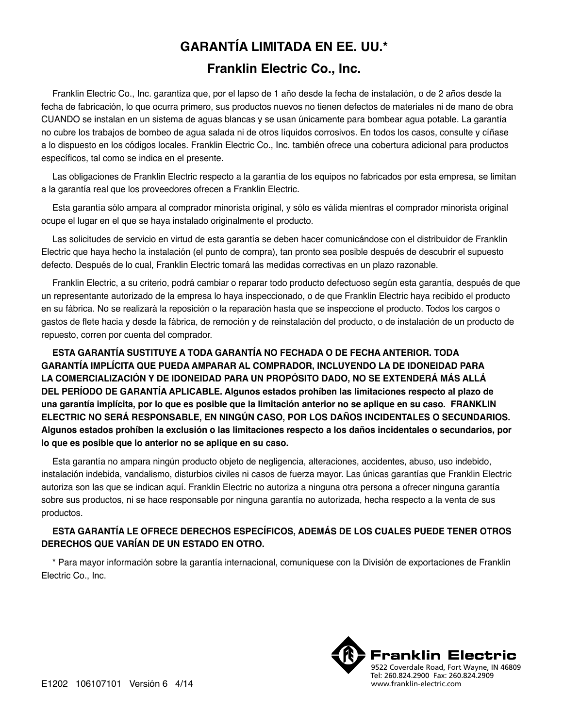# **GARANTÍA LIMITADA EN EE. UU.\***

# **Franklin Electric Co., Inc.**

Franklin Electric Co., Inc. garantiza que, por el lapso de 1 año desde la fecha de instalación, o de 2 años desde la fecha de fabricación, lo que ocurra primero, sus productos nuevos no tienen defectos de materiales ni de mano de obra CUANDO se instalan en un sistema de aguas blancas y se usan únicamente para bombear agua potable. La garantía no cubre los trabajos de bombeo de agua salada ni de otros líquidos corrosivos. En todos los casos, consulte y cíñase a lo dispuesto en los códigos locales. Franklin Electric Co., Inc. también ofrece una cobertura adicional para productos específicos, tal como se indica en el presente.

Las obligaciones de Franklin Electric respecto a la garantía de los equipos no fabricados por esta empresa, se limitan a la garantía real que los proveedores ofrecen a Franklin Electric.

Esta garantía sólo ampara al comprador minorista original, y sólo es válida mientras el comprador minorista original ocupe el lugar en el que se haya instalado originalmente el producto.

Las solicitudes de servicio en virtud de esta garantía se deben hacer comunicándose con el distribuidor de Franklin Electric que haya hecho la instalación (el punto de compra), tan pronto sea posible después de descubrir el supuesto defecto. Después de lo cual, Franklin Electric tomará las medidas correctivas en un plazo razonable.

Franklin Electric, a su criterio, podrá cambiar o reparar todo producto defectuoso según esta garantía, después de que un representante autorizado de la empresa lo haya inspeccionado, o de que Franklin Electric haya recibido el producto en su fábrica. No se realizará la reposición o la reparación hasta que se inspeccione el producto. Todos los cargos o gastos de flete hacia y desde la fábrica, de remoción y de reinstalación del producto, o de instalación de un producto de repuesto, corren por cuenta del comprador.

**ESTA GARANTÍA SUSTITUYE A TODA GARANTÍA NO FECHADA O DE FECHA ANTERIOR. TODA GARANTÍA IMPLÍCITA QUE PUEDA AMPARAR AL COMPRADOR, INCLUYENDO LA DE IDONEIDAD PARA LA COMERCIALIZACIÓN Y DE IDONEIDAD PARA UN PROPÓSITO DADO, NO SE EXTENDERÁ MÁS ALLÁ DEL PERÍODO DE GARANTÍA APLICABLE. Algunos estados prohíben las limitaciones respecto al plazo de una garantía implícita, por lo que es posible que la limitación anterior no se aplique en su caso. FRANKLIN ELECTRIC NO SERÁ RESPONSABLE, EN NINGÚN CASO, POR LOS DAÑOS INCIDENTALES O SECUNDARIOS. Algunos estados prohíben la exclusión o las limitaciones respecto a los daños incidentales o secundarios, por lo que es posible que lo anterior no se aplique en su caso.**

Esta garantía no ampara ningún producto objeto de negligencia, alteraciones, accidentes, abuso, uso indebido, instalación indebida, vandalismo, disturbios civiles ni casos de fuerza mayor. Las únicas garantías que Franklin Electric autoriza son las que se indican aquí. Franklin Electric no autoriza a ninguna otra persona a ofrecer ninguna garantía sobre sus productos, ni se hace responsable por ninguna garantía no autorizada, hecha respecto a la venta de sus productos.

# **ESTA GARANTÍA LE OFRECE DERECHOS ESPECÍFICOS, ADEMÁS DE LOS CUALES PUEDE TENER OTROS DERECHOS QUE VARÍAN DE UN ESTADO EN OTRO.**

\* Para mayor información sobre la garantía internacional, comuníquese con la División de exportaciones de Franklin Electric Co., Inc.

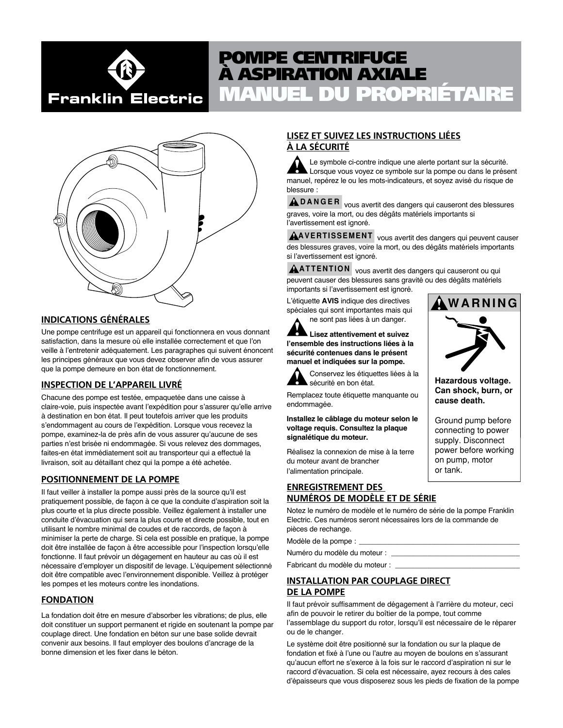# Franklin Electric

# MANUEL DU PROPRIÉTAIRE POMPE CENTRIFUGE À ASPIRATION AXIALE



# **INDICATIONS GÉNÉRALES**

Une pompe centrifuge est un appareil qui fonctionnera en vous donnant satisfaction, dans la mesure où elle installée correctement et que l'on veille à l'entretenir adéquatement. Les paragraphes qui suivent énoncent les principes généraux que vous devez observer afin de vous assurer que la pompe demeure en bon état de fonctionnement.

# **INSPECTION DE L'APPAREIL LIVRÉ**

Chacune des pompe est testée, empaquetée dans une caisse à claire-voie, puis inspectée avant l'expédition pour s'assurer qu'elle arrive à destination en bon état. Il peut toutefois arriver que les produits s'endommagent au cours de l'expédition. Lorsque vous recevez la pompe, examinez-la de près afin de vous assurer qu'aucune de ses parties n'est brisée ni endommagée. Si vous relevez des dommages, faites-en état immédiatement soit au transporteur qui a effectué la livraison, soit au détaillant chez qui la pompe a été achetée.

# **POSITIONNEMENT DE LA POMPE**

Il faut veiller à installer la pompe aussi près de la source qu'il est pratiquement possible, de façon à ce que la conduite d'aspiration soit la plus courte et la plus directe possible. Veillez également à installer une conduite d'évacuation qui sera la plus courte et directe possible, tout en utilisant le nombre minimal de coudes et de raccords, de façon à minimiser la perte de charge. Si cela est possible en pratique, la pompe doit être installée de façon à être accessible pour l'inspection lorsqu'elle fonctionne. Il faut prévoir un dégagement en hauteur au cas où il est nécessaire d'employer un dispositif de levage. L'équipement sélectionné doit être compatible avec l'environnement disponible. Veillez à protéger les pompes et les moteurs contre les inondations.

# **FONDATION**

La fondation doit être en mesure d'absorber les vibrations; de plus, elle doit constituer un support permanent et rigide en soutenant la pompe par couplage direct. Une fondation en béton sur une base solide devrait convenir aux besoins. Il faut employer des boulons d'ancrage de la bonne dimension et les fixer dans le béton.

# **LISEZ ET SUIVEZ LES INSTRUCTIONS LIÉES À LA SÉCURITÉ**

Le symbole ci-contre indique une alerte portant sur la sécurité. Lorsque vous voyez ce symbole sur la pompe ou dans le présent manuel, repérez le ou les mots-indicateurs, et soyez avisé du risque de blessure :

**DANGER** vous avertit des dangers qui causeront des blessures graves, voire la mort, ou des dégâts matériels importants si l'avertissement est ignoré.

**AVERTISSEMENT** vous avertit des dangers qui peuvent causer des blessures graves, voire la mort, ou des dégâts matériels importants si l'avertissement est ignoré.

**ATTENTION** vous avertit des dangers qui causeront ou qui peuvent causer des blessures sans gravité ou des dégâts matériels importants si l'avertissement est ignoré.

L'étiquette **AVIS** indique des directives spéciales qui sont importantes mais qui ne sont pas liées à un danger.

**Lisez attentivement et suivez l'ensemble des instructions liées à la sécurité contenues dans le présent manuel et indiquées sur la pompe.**

Conservez les étiquettes liées à la sécurité en bon état.

Remplacez toute étiquette manquante ou endommagée.

**Installez le câblage du moteur selon le voltage requis. Consultez la plaque signalétique du moteur.**

Réalisez la connexion de mise à la terre du moteur avant de brancher l'alimentation principale.

# **ENREGISTREMENT DES NUMÉROS DE MODÈLE ET DE SÉRIE**

Notez le numéro de modèle et le numéro de série de la pompe Franklin Electric. Ces numéros seront nécessaires lors de la commande de pièces de rechange.

Modèle de la pompe : \_

Numéro du modèle du moteur :

Fabricant du modèle du moteur :

# **INSTALLATION PAR COUPLAGE DIRECT DE LA POMPE**

Il faut prévoir suffisamment de dégagement à l'arrière du moteur, ceci afin de pouvoir le retirer du boîtier de la pompe, tout comme l'assemblage du support du rotor, lorsqu'il est nécessaire de le réparer ou de le changer.

Le système doit être positionné sur la fondation ou sur la plaque de fondation et fixé à l'une ou l'autre au moyen de boulons en s'assurant qu'aucun effort ne s'exerce à la fois sur le raccord d'aspiration ni sur le raccord d'évacuation. Si cela est nécessaire, ayez recours à des cales d'épaisseurs que vous disposerez sous les pieds de fixation de la pompe



**Hazardous voltage. Can shock, burn, or cause death.**

Ground pump before connecting to power supply. Disconnect power before working on pump, motor or tank.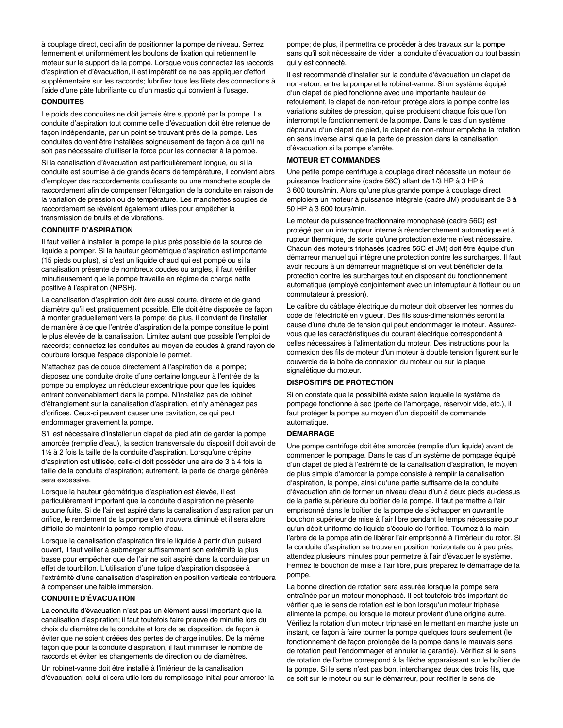à couplage direct, ceci afin de positionner la pompe de niveau. Serrez fermement et uniformément les boulons de fixation qui retiennent le moteur sur le support de la pompe. Lorsque vous connectez les raccords d'aspiration et d'évacuation, il est impératif de ne pas appliquer d'effort supplémentaire sur les raccords; lubrifiez tous les filets des connections à l'aide d'une pâte lubrifiante ou d'un mastic qui convient à l'usage.

#### **CONDUITES**

Le poids des conduites ne doit jamais être supporté par la pompe. La conduite d'aspiration tout comme celle d'évacuation doit être retenue de façon indépendante, par un point se trouvant près de la pompe. Les conduites doivent être installées soigneusement de façon à ce qu'il ne soit pas nécessaire d'utiliser la force pour les connecter à la pompe.

Si la canalisation d'évacuation est particulièrement longue, ou si la conduite est soumise à de grands écarts de température, il convient alors d'employer des raccordements coulissants ou une manchette souple de raccordement afin de compenser l'élongation de la conduite en raison de la variation de pression ou de température. Les manchettes souples de raccordement se révèlent également utiles pour empêcher la transmission de bruits et de vibrations.

#### **CONDUITE D'ASPIRATION**

Il faut veiller à installer la pompe le plus près possible de la source de liquide à pomper. Si la hauteur géométrique d'aspiration est importante (15 pieds ou plus), si c'est un liquide chaud qui est pompé ou si la canalisation présente de nombreux coudes ou angles, il faut vérifier minutieusement que la pompe travaille en régime de charge nette positive à l'aspiration (NPSH).

La canalisation d'aspiration doit être aussi courte, directe et de grand diamètre qu'il est pratiquement possible. Elle doit être disposée de façon à monter graduellement vers la pompe; de plus, il convient de l'installer de manière à ce que l'entrée d'aspiration de la pompe constitue le point le plus élevée de la canalisation. Limitez autant que possible l'emploi de raccords; connectez les conduites au moyen de coudes à grand rayon de courbure lorsque l'espace disponible le permet.

N'attachez pas de coude directement à l'aspiration de la pompe; disposez une conduite droite d'une certaine longueur à l'entrée de la pompe ou employez un réducteur excentrique pour que les liquides entrent convenablement dans la pompe. N'installez pas de robinet d'étranglement sur la canalisation d'aspiration, et n'y aménagez pas d'orifices. Ceux-ci peuvent causer une cavitation, ce qui peut endommager gravement la pompe.

S'il est nécessaire d'installer un clapet de pied afin de garder la pompe amorcée (remplie d'eau), la section transversale du dispositif doit avoir de 1½ à 2 fois la taille de la conduite d'aspiration. Lorsqu'une crépine d'aspiration est utilisée, celle-ci doit posséder une aire de 3 à 4 fois la taille de la conduite d'aspiration; autrement, la perte de charge générée sera excessive.

Lorsque la hauteur géométrique d'aspiration est élevée, il est particulièrement important que la conduite d'aspiration ne présente aucune fuite. Si de l'air est aspiré dans la canalisation d'aspiration par un orifice, le rendement de la pompe s'en trouvera diminué et il sera alors difficile de maintenir la pompe remplie d'eau.

Lorsque la canalisation d'aspiration tire le liquide à partir d'un puisard ouvert, il faut veiller à submerger suffisamment son extrémité la plus basse pour empêcher que de l'air ne soit aspiré dans la conduite par un effet de tourbillon. L'utilisation d'une tulipe d'aspiration disposée à l'extrémité d'une canalisation d'aspiration en position verticale contribuera à compenser une faible immersion.

#### **CONDUITED'ÉVACUATION**

La conduite d'évacuation n'est pas un élément aussi important que la canalisation d'aspiration; il faut toutefois faire preuve de minutie lors du choix du diamètre de la conduite et lors de sa disposition, de façon à éviter que ne soient créées des pertes de charge inutiles. De la même façon que pour la conduite d'aspiration, il faut minimiser le nombre de raccords et éviter les changements de direction ou de diamètres.

Un robinet-vanne doit être installé à l'intérieur de la canalisation d'évacuation; celui-ci sera utile lors du remplissage initial pour amorcer la pompe; de plus, il permettra de procéder à des travaux sur la pompe sans qu'il soit nécessaire de vider la conduite d'évacuation ou tout bassin qui y est connecté.

Il est recommandé d'installer sur la conduite d'évacuation un clapet de non-retour, entre la pompe et le robinet-vanne. Si un système équipé d'un clapet de pied fonctionne avec une importante hauteur de refoulement, le clapet de non-retour protège alors la pompe contre les variations subites de pression, qui se produisent chaque fois que l'on interrompt le fonctionnement de la pompe. Dans le cas d'un système dépourvu d'un clapet de pied, le clapet de non-retour empêche la rotation en sens inverse ainsi que la perte de pression dans la canalisation d'évacuation si la pompe s'arrête.

#### **MOTEUR ET COMMANDES**

Une petite pompe centrifuge à couplage direct nécessite un moteur de puissance fractionnaire (cadre 56C) allant de 1/3 HP à 3 HP à 3 600 tours/min. Alors qu'une plus grande pompe à couplage direct emploiera un moteur à puissance intégrale (cadre JM) produisant de 3 à 50 HP à 3 600 tours/min.

Le moteur de puissance fractionnaire monophasé (cadre 56C) est protégé par un interrupteur interne à réenclenchement automatique et à rupteur thermique, de sorte qu'une protection externe n'est nécessaire. Chacun des moteurs triphasés (cadres 56C et JM) doit être équipé d'un démarreur manuel qui intègre une protection contre les surcharges. Il faut avoir recours à un démarreur magnétique si on veut bénéficier de la protection contre les surcharges tout en disposant du fonctionnement automatique (employé conjointement avec un interrupteur à flotteur ou un commutateur à pression).

Le calibre du câblage électrique du moteur doit observer les normes du code de l'électricité en vigueur. Des fils sous-dimensionnés seront la cause d'une chute de tension qui peut endommager le moteur. Assurezvous que les caractéristiques du courant électrique correspondent à celles nécessaires à l'alimentation du moteur. Des instructions pour la connexion des fils de moteur d'un moteur à double tension figurent sur le couvercle de la boîte de connexion du moteur ou sur la plaque signalétique du moteur.

#### **DISPOSITIFS DE PROTECTION**

Si on constate que la possibilité existe selon laquelle le système de pompage fonctionne à sec (perte de l'amorçage, réservoir vide, etc.), il faut protéger la pompe au moyen d'un dispositif de commande automatique.

#### **DÉMARRAGE**

Une pompe centrifuge doit être amorcée (remplie d'un liquide) avant de commencer le pompage. Dans le cas d'un système de pompage équipé d'un clapet de pied à l'extrémité de la canalisation d'aspiration, le moyen de plus simple d'amorcer la pompe consiste à remplir la canalisation d'aspiration, la pompe, ainsi qu'une partie suffisante de la conduite d'évacuation afin de former un niveau d'eau d'un à deux pieds au-dessus de la partie supérieure du boîtier de la pompe. Il faut permettre à l'air emprisonné dans le boîtier de la pompe de s'échapper en ouvrant le bouchon supérieur de mise à l'air libre pendant le temps nécessaire pour qu'un débit uniforme de liquide s'écoule de l'orifice. Tournez à la main l'arbre de la pompe afin de libérer l'air emprisonné à l'intérieur du rotor. Si la conduite d'aspiration se trouve en position horizontale ou à peu près, attendez plusieurs minutes pour permettre à l'air d'évacuer le système. Fermez le bouchon de mise à l'air libre, puis préparez le démarrage de la pompe.

La bonne direction de rotation sera assurée lorsque la pompe sera entraînée par un moteur monophasé. Il est toutefois très important de vérifier que le sens de rotation est le bon lorsqu'un moteur triphasé alimente la pompe, ou lorsque le moteur provient d'une origine autre. Vérifiez la rotation d'un moteur triphasé en le mettant en marche juste un instant, ce façon à faire tourner la pompe quelques tours seulement (le fonctionnement de façon prolongée de la pompe dans le mauvais sens de rotation peut l'endommager et annuler la garantie). Vérifiez si le sens de rotation de l'arbre correspond à la flèche apparaissant sur le boîtier de la pompe. Si le sens n'est pas bon, interchangez deux des trois fils, que ce soit sur le moteur ou sur le démarreur, pour rectifier le sens de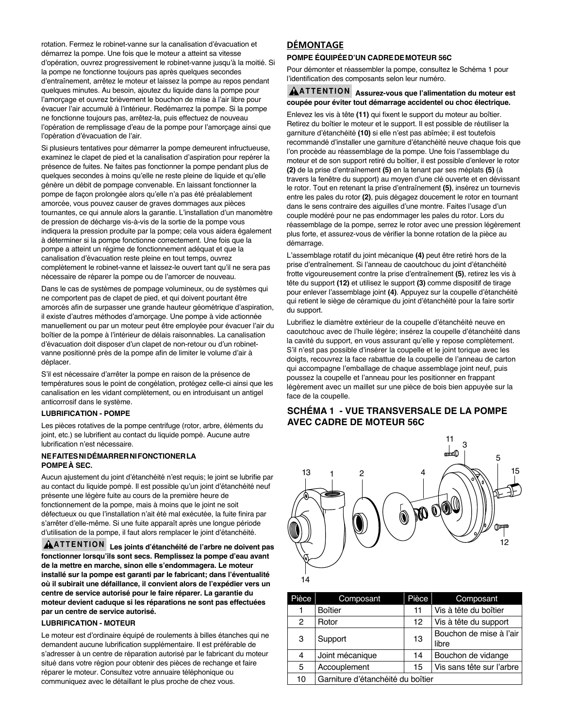rotation. Fermez le robinet-vanne sur la canalisation d'évacuation et démarrez la pompe. Une fois que le moteur a atteint sa vitesse d'opération, ouvrez progressivement le robinet-vanne jusqu'à la moitié. Si la pompe ne fonctionne toujours pas après quelques secondes d'entraînement, arrêtez le moteur et laissez la pompe au repos pendant quelques minutes. Au besoin, ajoutez du liquide dans la pompe pour l'amorçage et ouvrez brièvement le bouchon de mise à l'air libre pour évacuer l'air accumulé à l'intérieur. Redémarrez la pompe. Si la pompe ne fonctionne toujours pas, arrêtez-la, puis effectuez de nouveau l'opération de remplissage d'eau de la pompe pour l'amorçage ainsi que l'opération d'évacuation de l'air.

Si plusieurs tentatives pour démarrer la pompe demeurent infructueuse, examinez le clapet de pied et la canalisation d'aspiration pour repérer la présence de fuites. Ne faites pas fonctionner la pompe pendant plus de quelques secondes à moins qu'elle ne reste pleine de liquide et qu'elle génère un débit de pompage convenable. En laissant fonctionner la pompe de façon prolongée alors qu'elle n'a pas été préalablement amorcée, vous pouvez causer de graves dommages aux pièces tournantes, ce qui annule alors la garantie. L'installation d'un manomètre de pression de décharge vis-à-vis de la sortie de la pompe vous indiquera la pression produite par la pompe; cela vous aidera également à déterminer si la pompe fonctionne correctement. Une fois que la pompe a atteint un régime de fonctionnement adéquat et que la canalisation d'évacuation reste pleine en tout temps, ouvrez complètement le robinet-vanne et laissez-le ouvert tant qu'il ne sera pas nécessaire de réparer la pompe ou de l'amorcer de nouveau.

Dans le cas de systèmes de pompage volumineux, ou de systèmes qui ne comportent pas de clapet de pied, et qui doivent pourtant être amorcés afin de surpasser une grande hauteur géométrique d'aspiration, il existe d'autres méthodes d'amorçage. Une pompe à vide actionnée manuellement ou par un moteur peut être employée pour évacuer l'air du boîtier de la pompe à l'intérieur de délais raisonnables. La canalisation d'évacuation doit disposer d'un clapet de non-retour ou d'un robinetvanne positionné près de la pompe afin de limiter le volume d'air à déplacer.

S'il est nécessaire d'arrêter la pompe en raison de la présence de températures sous le point de congélation, protégez celle-ci ainsi que les canalisation en les vidant complètement, ou en introduisant un antigel anticorrosif dans le système.

#### **LUBRIFICATION - POMPE**

Les pièces rotatives de la pompe centrifuge (rotor, arbre, éléments du joint, etc.) se lubrifient au contact du liquide pompé. Aucune autre lubrification n'est nécessaire.

### **NEFAITESNIDÉMARRERNIFONCTIONERLA POMPEÀ SEC.**

Aucun ajustement du joint d'étanchéité n'est requis; le joint se lubrifie par au contact du liquide pompé. Il est possible qu'un joint d'étanchéité neuf présente une légère fuite au cours de la première heure de fonctionnement de la pompe, mais à moins que le joint ne soit défectueux ou que l'installation n'ait été mal exécutée, la fuite finira par s'arrêter d'elle-même. Si une fuite apparaît après une longue période d'utilisation de la pompe, il faut alors remplacer le joint d'étanchéité.

**ATTENTION Les joints d'étanchéité de l'arbre ne doivent pas fonctionner lorsqu'ils sont secs. Remplissez la pompe d'eau avant de la mettre en marche, sinon elle s'endommagera. Le moteur installé sur la pompe est garanti par le fabricant; dans l'éventualité où il subirait une défaillance, il convient alors de l'expédier vers un centre de service autorisé pour le faire réparer. La garantie du moteur devient caduque si les réparations ne sont pas effectuées par un centre de service autorisé.**

#### **LUBRIFICATION - MOTEUR**

Le moteur est d'ordinaire équipé de roulements à billes étanches qui ne demandent aucune lubrification supplémentaire. Il est préférable de s'adresser à un centre de réparation autorisé par le fabricant du moteur situé dans votre région pour obtenir des pièces de rechange et faire réparer le moteur. Consultez votre annuaire téléphonique ou communiquez avec le détaillant le plus proche de chez vous.

# **DÉMONTAGE**

#### **POMPE ÉQUIPÉED'UN CADREDEMOTEUR 56C**

Pour démonter et réassembler la pompe, consultez le Schéma 1 pour l'identification des composants selon leur numéro.

#### **ATTENTION Assurez-vous que l'alimentation du moteur est coupée pour éviter tout démarrage accidentel ou choc électrique.**

Enlevez les vis à tête **(11)** qui fixent le support du moteur au boîtier. Retirez du boîtier le moteur et le support. Il est possible de réutiliser la garniture d'étanchéité **(10)** si elle n'est pas abîmée; il est toutefois recommandé d'installer une garniture d'étanchéité neuve chaque fois que l'on procède au réassemblage de la pompe. Une fois l'assemblage du moteur et de son support retiré du boîtier, il est possible d'enlever le rotor **(2)** de la prise d'entraînement **(5)** en la tenant par ses méplats **(5)** (à travers la fenêtre du support) au moyen d'une clé ouverte et en dévissant le rotor. Tout en retenant la prise d'entraînement **(5)**, insérez un tournevis entre les pales du rotor **(2)**, puis dégagez doucement le rotor en tournant dans le sens contraire des aiguilles d'une montre. Faites l'usage d'un couple modéré pour ne pas endommager les pales du rotor. Lors du réassemblage de la pompe, serrez le rotor avec une pression légèrement plus forte, et assurez-vous de vérifier la bonne rotation de la pièce au démarrage.

L'assemblage rotatif du joint mécanique **(4)** peut être retiré hors de la prise d'entraînement. Si l'anneau de caoutchouc du joint d'étanchéité frotte vigoureusement contre la prise d'entraînement **(5)**, retirez les vis à tête du support **(12)** et utilisez le support **(3)** comme dispositif de tirage pour enlever l'assemblage joint **(4)**. Appuyez sur la coupelle d'étanchéité qui retient le siège de céramique du joint d'étanchéité pour la faire sortir du support.

Lubrifiez le diamètre extérieur de la coupelle d'étanchéité neuve en caoutchouc avec de l'huile légère; insérez la coupelle d'étanchéité dans la cavité du support, en vous assurant qu'elle y repose complètement. S'il n'est pas possible d'insérer la coupelle et le joint torique avec les doigts, recouvrez la face rabattue de la coupelle de l'anneau de carton qui accompagne l'emballage de chaque assemblage joint neuf, puis poussez la coupelle et l'anneau pour les positionner en frappant légèrement avec un maillet sur une pièce de bois bien appuyée sur la face de la coupelle.

# **SCHÉMA 1 - VUE TRANSVERSALE DE LA POMPE AVEC CADRE DE MOTEUR 56C**



| Pièce | Composant                         | Pièce | Composant                 |
|-------|-----------------------------------|-------|---------------------------|
|       | Boîtier                           | 11    | Vis à tête du boîtier     |
| 2     | Rotor                             | 12    | Vis à tête du support     |
| 3     | Support                           | 13    | Bouchon de mise à l'air   |
|       |                                   |       | libre                     |
| 4     | Joint mécanique                   | 14    | Bouchon de vidange        |
| 5     | Accouplement                      | 15    | Vis sans tête sur l'arbre |
| 10    | Garniture d'étanchéité du boîtier |       |                           |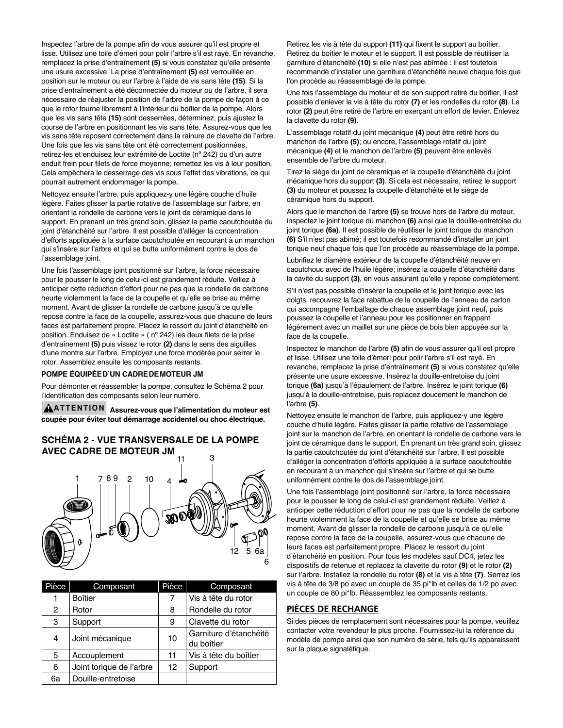Inspectez l'arbre de la pompe afin de vous assurer qu'il est propre et lisse. Utilisez une toile d'émeri pour polir l'arbre s'il est rayé. En revanche, remplacez la prise d'entraînement **(5)** si vous constatez qu'elle présente une usure excessive. La prise d'entraînement **(5)** est verrouillée en position sur le moteur ou sur l'arbre à l'aide de vis sans tête **(15)**. Si la prise d'entraînement a été déconnectée du moteur ou de l'arbre, il sera nécessaire de réajuster la position de l'arbre de la pompe de façon à ce que le rotor tourne librement à l'intérieur du boîtier de la pompe. Alors que les vis sans tête **(15)** sont desserrées, déterminez, puis ajustez la course de l'arbre en positionnant les vis sans tête. Assurez-vous que les vis sans tête reposent correctement dans la rainure de clavette de l'arbre. Une fois que les vis sans tête ont été correctement positionnées, retirez-les et enduisez leur extrémité de Loctite (nº 242) ou d'un autre enduit frein pour filets de force moyenne; remettez les vis à leur position. Cela empêchera le desserrage des vis sous l'effet des vibrations, ce qui pourrait autrement endommager la pompe.

Nettoyez ensuite l'arbre, puis appliquez-y une légère couche d'huile légère. Faites glisser la partie rotative de l'assemblage sur l'arbre, en orientant la rondelle de carbone vers le joint de céramique dans le support. En prenant un très grand soin, glissez la partie caoutchoutée du joint d'étanchéité sur l'arbre. Il est possible d'alléger la concentration d'efforts appliquée à la surface caoutchoutée en recourant à un manchon qui s'insère sur l'arbre et qui se butte uniformément contre le dos de l'assemblage joint.

Une fois l'assemblage joint positionné sur l'arbre, la force nécessaire pour le pousser le long de celui-ci est grandement réduite. Veillez à anticiper cette réduction d'effort pour ne pas que la rondelle de carbone heurte violemment la face de la coupelle et qu'elle se brise au même moment. Avant de glisser la rondelle de carbone jusqu'à ce qu'elle repose contre la face de la coupelle, assurez-vous que chacune de leurs faces est parfaitement propre. Placez le ressort du joint d'étanchéité en position. Enduisez de « Loctite » ( nº 242) les deux filets de la prise d'entraînement **(5)** puis vissez le rotor **(2)** dans le sens des aiguilles d'une montre sur l'arbre. Employez une force modérée pour serrer le rotor. Assemblez ensuite les composants restants.

#### **POMPE ÉQUIPÉED'UN CADREDEMOTEUR JM**

Pour démonter et réassembler la pompe, consultez le Schéma 2 pour l'identification des composants selon leur numéro.

**ATTENTION Assurez-vous que l'alimentation du moteur est coupée pour éviter tout démarrage accidentel ou choc électrique.**

# **SCHÉMA 2 - VUE TRANSVERSALE DE LA POMPE AVEC CADRE DE MOTEUR JM**



| Pièce | Composant                | Pièce | Composant                            |
|-------|--------------------------|-------|--------------------------------------|
| 1     | <b>Boîtier</b>           | 7     | Vis à tête du rotor                  |
| 2     | Rotor                    | 8     | Rondelle du rotor                    |
| 3     | Support                  | 9     | Clavette du rotor                    |
| 4     | Joint mécanique          | 10    | Garniture d'étanchéité<br>du boîtier |
| 5     | Accouplement             | 11    | Vis à tête du boîtier                |
| 6     | Joint torique de l'arbre | 12    | Support                              |
| 6a    | Douille-entretoise       |       |                                      |

Retirez les vis à tête du support **(11)** qui fixent le support au boîtier. Retirez du boîtier le moteur et le support. Il est possible de réutiliser la garniture d'étanchéité **(10)** si elle n'est pas abîmée : il est toutefois recommandé d'installer une garniture d'étanchéité neuve chaque fois que l'on procède au réassemblage de la pompe.

Une fois l'assemblage du moteur et de son support retiré du boîtier, il est possible d'enlever la vis à tête du rotor **(7)** et les rondelles du rotor **(8)**. Le rotor **(2)** peut être retiré de l'arbre en exerçant un effort de levier. Enlevez la clavette du rotor **(9)**.

L'assemblage rotatif du joint mécanique **(4)** peut être retiré hors du manchon de l'arbre **(5)**; ou encore, l'assemblage rotatif du joint mécanique **(4)** et le manchon de l'arbre **(5)** peuvent être enlevés ensemble de l'arbre du moteur.

Tirez le siège du joint de céramique et la coupelle d'étanchéité du joint mécanique hors du support **(3)**. Si cela est nécessaire, retirez le support **(3)** du moteur et poussez la coupelle d'étanchéité et le siège de céramique hors du support.

Alors que le manchon de l'arbre **(5)** se trouve hors de l'arbre du moteur, inspectez le joint torique du manchon **(6)** ainsi que la douille-entretoise du joint torique **(6a)**. Il est possible de réutiliser le joint torique du manchon **(6)** S'il n'est pas abimé; il est toutefois recommandé d'installer un joint torique neuf chaque fois que l'on procède au réassemblage de la pompe.

Lubrifiez le diamètre extérieur de la coupelle d'étanchéité neuve en caoutchouc avec de l'huile légère; insérez la coupelle d'étanchéité dans la cavité du support **(3)**, en vous assurant qu'elle y repose complètement.

S'il n'est pas possible d'insérer la coupelle et le joint torique avec les doigts, recouvrez la face rabattue de la coupelle de l'anneau de carton qui accompagne l'emballage de chaque assemblage joint neuf, puis poussez la coupelle et l'anneau pour les positionner en frappant légèrement avec un maillet sur une pièce de bois bien appuyée sur la face de la coupelle.

Inspectez le manchon de l'arbre **(5)** afin de vous assurer qu'il est propre et lisse. Utilisez une toile d'émeri pour polir l'arbre s'il est rayé. En revanche, remplacez la prise d'entraînement **(5)** si vous constatez qu'elle présente une usure excessive. Insérez la douille-entretoise du joint torique **(6a)** jusqu'à l'épaulement de l'arbre. Insérez le joint torique **(6)** jusqu'à la douille-entretoise, puis replacez doucement le manchon de l'arbre **(5)**.

Nettoyez ensuite le manchon de l'arbre, puis appliquez-y une légère couche d'huile légère. Faites glisser la partie rotative de l'assemblage joint sur le manchon de l'arbre, en orientant la rondelle de carbone vers le joint de céramique dans le support. En prenant un très grand soin, glissez la partie caoutchoutée du joint d'étanchéité sur l'arbre. Il est possible d'alléger la concentration d'efforts appliquée à la surface caoutchoutée en recourant à un manchon qui s'insère sur l'arbre et qui se butte uniformément contre le dos de l'assemblage joint.

Une fois l'assemblage joint positionné sur l'arbre, la force nécessaire pour le pousser le long de celui-ci est grandement réduite. Veillez à anticiper cette réduction d'effort pour ne pas que la rondelle de carbone heurte violemment la face de la coupelle et qu'elle se brise au même moment. Avant de glisser la rondelle de carbone jusqu'à ce qu'elle repose contre la face de la coupelle, assurez-vous que chacune de leurs faces est parfaitement propre. Placez le ressort du joint d'étanchéité en position. Pour tous les modèles sauf DC4, jetez les dispositifs de retenue et replacez la clavette du rotor **(9)** et le rotor **(2)** sur l'arbre. Installez la rondelle du rotor **(8)** et la vis à tête **(7)**. Serrez les vis à tête de 3/8 po avec un couple de 35 pi\*lb et celles de 1/2 po avec un couple de 80 pi\*lb. Réassemblez les composants restants.

# **PIÈCES DE RECHANGE**

Si des pièces de remplacement sont nécessaires pour la pompe, veuillez contacter votre revendeur le plus proche. Fournissez-lui la référence du modèle de pompe ainsi que son numéro de série, tels qu'ils apparaissent sur la plaque signalétique.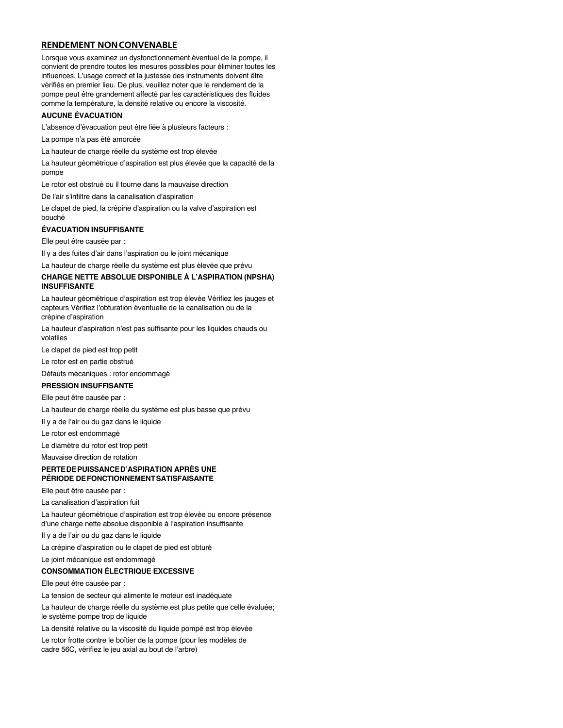# **RENDEMENT NONCONVENABLE**

Lorsque vous examinez un dysfonctionnement éventuel de la pompe, il convient de prendre toutes les mesures possibles pour éliminer toutes les influences. L'usage correct et la justesse des instruments doivent être vérifiés en premier lieu. De plus, veuillez noter que le rendement de la pompe peut être grandement affecté par les caractéristiques des fluides comme la température, la densité relative ou encore la viscosité.

#### **AUCUNE ÉVACUATION**

L'absence d'évacuation peut être liée à plusieurs facteurs :

La pompe n'a pas été amorcée

La hauteur de charge réelle du système est trop élevée

La hauteur géométrique d'aspiration est plus élevée que la capacité de la pompe

Le rotor est obstrué ou il tourne dans la mauvaise direction

De l'air s'infiltre dans la canalisation d'aspiration

Le clapet de pied, la crépine d'aspiration ou la valve d'aspiration est bouché

#### **ÉVACUATION INSUFFISANTE**

Elle peut être causée par :

Il y a des fuites d'air dans l'aspiration ou le joint mécanique

La hauteur de charge réelle du système est plus élevée que prévu

#### **CHARGE NETTE ABSOLUE DISPONIBLE À L'ASPIRATION (NPSHA) INSUFFISANTE**

La hauteur géométrique d'aspiration est trop élevée Vérifiez les jauges et capteurs Vérifiez l'obturation éventuelle de la canalisation ou de la crépine d'aspiration

La hauteur d'aspiration n'est pas suffisante pour les liquides chauds ou volatiles

Le clapet de pied est trop petit

Le rotor est en partie obstrué

Défauts mécaniques : rotor endommagé

#### **PRESSION INSUFFISANTE**

Elle peut être causée par :

La hauteur de charge réelle du système est plus basse que prévu

Il y a de l'air ou du gaz dans le liquide

Le rotor est endommagé

Le diamètre du rotor est trop petit

Mauvaise direction de rotation

#### **PERTEDEPUISSANCED'ASPIRATION APRÈS UNE PÉRIODE DEFONCTIONNEMENTSATISFAISANTE**

Elle peut être causée par :

La canalisation d'aspiration fuit

La hauteur géométrique d'aspiration est trop élevée ou encore présence d'une charge nette absolue disponible à l'aspiration insuffisante

Il y a de l'air ou du gaz dans le liquide

La crépine d'aspiration ou le clapet de pied est obturé

Le joint mécanique est endommagé

#### **CONSOMMATION ÉLECTRIQUE EXCESSIVE**

Elle peut être causée par :

La tension de secteur qui alimente le moteur est inadéquate

La hauteur de charge réelle du système est plus petite que celle évaluée; le système pompe trop de liquide

La densité relative ou la viscosité du liquide pompé est trop élevée

Le rotor frotte contre le boîtier de la pompe (pour les modèles de cadre 56C, vérifiez le jeu axial au bout de l'arbre)